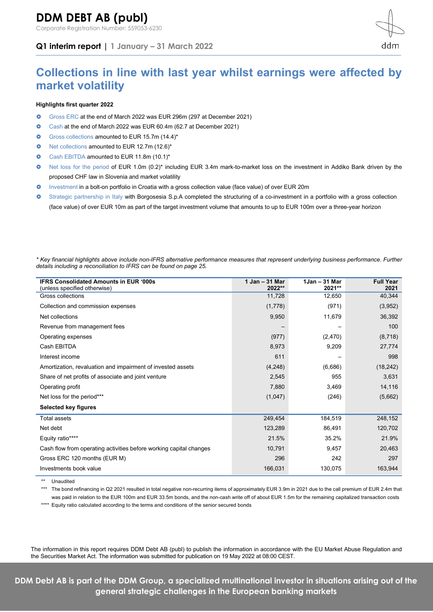Corporate Registration Number: 559053-6230

**Q1 interim report | 1 January – 31 March 2022**



# **Collections in line with last year whilst earnings were affected by market volatility**

# **Highlights first quarter 2022**

- Gross ERC at the end of March 2022 was EUR 296m (297 at December 2021)
- Cash at the end of March 2022 was EUR 60.4m (62.7 at December 2021)
- Gross collections amounted to EUR 15.7m (14.4)\*
- O Net collections amounted to EUR 12.7m (12.6)\*
- **O** Cash EBITDA amounted to EUR 11.8m (10.1)\*
- O Net loss for the period of EUR 1.0m (0.2)\* including EUR 3.4m mark-to-market loss on the investment in Addiko Bank driven by the proposed CHF law in Slovenia and market volatility
- Investment in a bolt-on portfolio in Croatia with a gross collection value (face value) of over EUR 20m
- Strategic partnership in Italy with Borgosesia S.p.A completed the structuring of a co-investment in a portfolio with a gross collection (face value) of over EUR 10m as part of the target investment volume that amounts to up to EUR 100m over a three-year horizon

*\* Key financial highlights above include non-IFRS alternative performance measures that represent underlying business performance. Further details including a reconciliation to IFRS can be found on page 25.*

| <b>IFRS Consolidated Amounts in EUR '000s</b><br>(unless specified otherwise) | 1 Jan - 31 Mar<br>2022** | $1$ Jan – 31 Mar<br>2021** | <b>Full Year</b><br>2021 |
|-------------------------------------------------------------------------------|--------------------------|----------------------------|--------------------------|
| Gross collections                                                             | 11,728                   | 12,650                     | 40,344                   |
| Collection and commission expenses                                            | (1,778)                  | (971)                      | (3,952)                  |
| Net collections                                                               | 9,950                    | 11,679                     | 36,392                   |
| Revenue from management fees                                                  | -                        |                            | 100                      |
| Operating expenses                                                            | (977)                    | (2,470)                    | (8,718)                  |
| Cash EBITDA                                                                   | 8,973                    | 9,209                      | 27,774                   |
| Interest income                                                               | 611                      |                            | 998                      |
| Amortization, revaluation and impairment of invested assets                   | (4,248)                  | (6,686)                    | (18, 242)                |
| Share of net profits of associate and joint venture                           | 2,545                    | 955                        | 3,631                    |
| Operating profit                                                              | 7,880                    | 3,469                      | 14,116                   |
| Net loss for the period***                                                    | (1,047)                  | (246)                      | (5,662)                  |
| Selected key figures                                                          |                          |                            |                          |
| <b>Total assets</b>                                                           | 249,454                  | 184,519                    | 248,152                  |
| Net debt                                                                      | 123,289                  | 86,491                     | 120,702                  |
| Equity ratio****                                                              | 21.5%                    | 35.2%                      | 21.9%                    |
| Cash flow from operating activities before working capital changes            | 10,791                   | 9,457                      | 20,463                   |
| Gross ERC 120 months (EUR M)                                                  | 296                      | 242                        | 297                      |
| Investments book value                                                        | 166,031                  | 130,075                    | 163,944                  |

\*\* Unaudited

\*\*\* The bond refinancing in Q2 2021 resulted in total negative non-recurring items of approximately EUR 3.9m in 2021 due to the call premium of EUR 2.4m that was paid in relation to the EUR 100m and EUR 33.5m bonds, and the non-cash write off of about EUR 1.5m for the remaining capitalized transaction costs

\*\*\*\* Equity ratio calculated according to the terms and conditions of the senior secured bonds

The information in this report requires DDM Debt AB (publ) to publish the information in accordance with the EU Market Abuse Regulation and the Securities Market Act. The information was submitted for publication on 19 May 2022 at 08:00 CEST.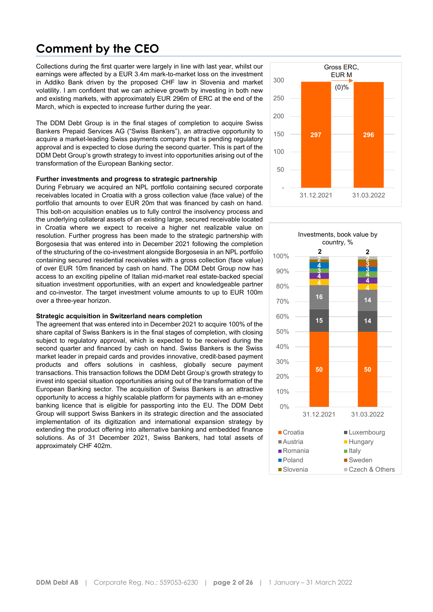# **Comment by the CEO**

Collections during the first quarter were largely in line with last year, whilst our earnings were affected by a EUR 3.4m mark-to-market loss on the investment in Addiko Bank driven by the proposed CHF law in Slovenia and market volatility. I am confident that we can achieve growth by investing in both new and existing markets, with approximately EUR 296m of ERC at the end of the March, which is expected to increase further during the year.

The DDM Debt Group is in the final stages of completion to acquire Swiss Bankers Prepaid Services AG ("Swiss Bankers"), an attractive opportunity to acquire a market-leading Swiss payments company that is pending regulatory approval and is expected to close during the second quarter. This is part of the DDM Debt Group's growth strategy to invest into opportunities arising out of the transformation of the European Banking sector.

## **Further investments and progress to strategic partnership**

During February we acquired an NPL portfolio containing secured corporate receivables located in Croatia with a gross collection value (face value) of the portfolio that amounts to over EUR 20m that was financed by cash on hand. This bolt-on acquisition enables us to fully control the insolvency process and the underlying collateral assets of an existing large, secured receivable located in Croatia where we expect to receive a higher net realizable value on resolution. Further progress has been made to the strategic partnership with Borgosesia that was entered into in December 2021 following the completion of the structuring of the co-investment alongside Borgosesia in an NPL portfolio containing secured residential receivables with a gross collection (face value) of over EUR 10m financed by cash on hand. The DDM Debt Group now has access to an exciting pipeline of Italian mid-market real estate-backed special situation investment opportunities, with an expert and knowledgeable partner and co-investor. The target investment volume amounts to up to EUR 100m over a three-year horizon.

## **Strategic acquisition in Switzerland nears completion**

The agreement that was entered into in December 2021 to acquire 100% of the share capital of Swiss Bankers is in the final stages of completion, with closing subject to regulatory approval, which is expected to be received during the second quarter and financed by cash on hand. Swiss Bankers is the Swiss market leader in prepaid cards and provides innovative, credit-based payment products and offers solutions in cashless, globally secure payment transactions. This transaction follows the DDM Debt Group's growth strategy to invest into special situation opportunities arising out of the transformation of the European Banking sector. The acquisition of Swiss Bankers is an attractive opportunity to access a highly scalable platform for payments with an e-money banking licence that is eligible for passporting into the EU. The DDM Debt Group will support Swiss Bankers in its strategic direction and the associated implementation of its digitization and international expansion strategy by extending the product offering into alternative banking and embedded finance solutions. As of 31 December 2021, Swiss Bankers, had total assets of approximately CHF 402m.



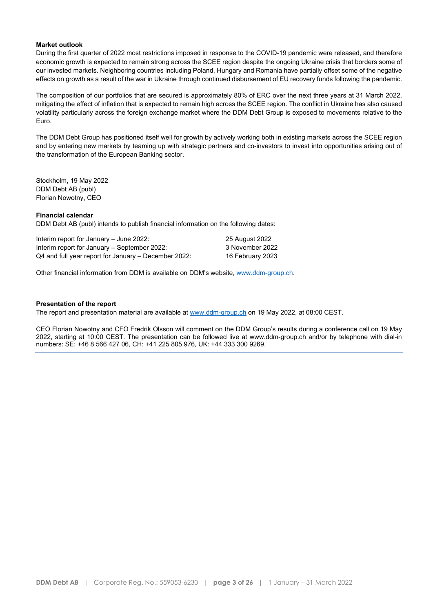# **Market outlook**

During the first quarter of 2022 most restrictions imposed in response to the COVID-19 pandemic were released, and therefore economic growth is expected to remain strong across the SCEE region despite the ongoing Ukraine crisis that borders some of our invested markets. Neighboring countries including Poland, Hungary and Romania have partially offset some of the negative effects on growth as a result of the war in Ukraine through continued disbursement of EU recovery funds following the pandemic.

The composition of our portfolios that are secured is approximately 80% of ERC over the next three years at 31 March 2022, mitigating the effect of inflation that is expected to remain high across the SCEE region. The conflict in Ukraine has also caused volatility particularly across the foreign exchange market where the DDM Debt Group is exposed to movements relative to the Euro.

The DDM Debt Group has positioned itself well for growth by actively working both in existing markets across the SCEE region and by entering new markets by teaming up with strategic partners and co-investors to invest into opportunities arising out of the transformation of the European Banking sector.

Stockholm, 19 May 2022 DDM Debt AB (publ) Florian Nowotny, CEO

#### **Financial calendar**

DDM Debt AB (publ) intends to publish financial information on the following dates:

| Interim report for January - June 2022:                | 25 August 2022   |
|--------------------------------------------------------|------------------|
| Interim report for January – September 2022:           | 3 November 2022  |
| $Q4$ and full year report for January – December 2022: | 16 February 2023 |

Other financial information from DDM is available on DDM's website, [www.ddm-group.ch.](http://ddm-group.ch/)

#### **Presentation of the report**

The report and presentation material are available at [www.ddm-group.ch](http://www.ddm-group.ch/) on 19 May 2022, at 08:00 CEST.

CEO Florian Nowotny and CFO Fredrik Olsson will comment on the DDM Group's results during a conference call on 19 May 2022, starting at 10:00 CEST. The presentation can be followed live at [www.ddm-group.ch](https://financialhearings.com/event/44201) and/or by telephone with dial-in numbers: SE: +46 8 566 427 06, CH: +41 225 805 976, UK: +44 333 300 9269.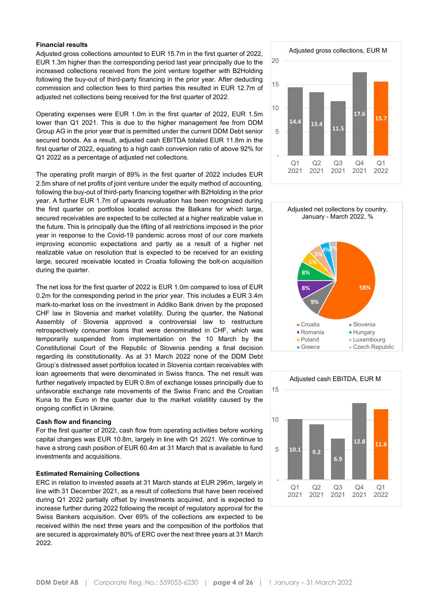# **Financial results**

Adjusted gross collections amounted to EUR 15.7m in the first quarter of 2022, EUR 1.3m higher than the corresponding period last year principally due to the increased collections received from the joint venture together with B2Holding following the buy-out of third-party financing in the prior year. After deducting commission and collection fees to third parties this resulted in EUR 12.7m of adjusted net collections being received for the first quarter of 2022.

Operating expenses were EUR 1.0m in the first quarter of 2022, EUR 1.5m lower than Q1 2021. This is due to the higher management fee from DDM Group AG in the prior year that is permitted under the current DDM Debt senior secured bonds. As a result, adjusted cash EBITDA totaled EUR 11.8m in the first quarter of 2022, equating to a high cash conversion ratio of above 92% for Q1 2022 as a percentage of adjusted net collections.

The operating profit margin of 89% in the first quarter of 2022 includes EUR 2.5m share of net profits of joint venture under the equity method of accounting, following the buy-out of third-party financing together with B2Holding in the prior year. A further EUR 1.7m of upwards revaluation has been recognized during the first quarter on portfolios located across the Balkans for which large, secured receivables are expected to be collected at a higher realizable value in the future. This is principally due the lifting of all restrictions imposed in the prior year in response to the Covid-19 pandemic across most of our core markets improving economic expectations and partly as a result of a higher net realizable value on resolution that is expected to be received for an existing large, secured receivable located in Croatia following the bolt-on acquisition during the quarter.

The net loss for the first quarter of 2022 is EUR 1.0m compared to loss of EUR 0.2m for the corresponding period in the prior year. This includes a EUR 3.4m mark-to-market loss on the investment in Addiko Bank driven by the proposed CHF law in Slovenia and market volatility. During the quarter, the National Assembly of Slovenia approved a controversial law to restructure retrospectively consumer loans that were denominated in CHF, which was temporarily suspended from implementation on the 10 March by the Constitutional Court of the Republic of Slovenia pending a final decision regarding its constitutionality. As at 31 March 2022 none of the DDM Debt Group's distressed asset portfolios located in Slovenia contain receivables with loan agreements that were denominated in Swiss francs. The net result was further negatively impacted by EUR 0.8m of exchange losses principally due to unfavorable exchange rate movements of the Swiss Franc and the Croatian Kuna to the Euro in the quarter due to the market volatility caused by the ongoing conflict in Ukraine.

#### **Cash flow and financing**

For the first quarter of 2022, cash flow from operating activities before working capital changes was EUR 10.8m, largely in line with Q1 2021. We continue to have a strong cash position of EUR 60.4m at 31 March that is available to fund investments and acquisitions.

#### **Estimated Remaining Collections**

ERC in relation to invested assets at 31 March stands at EUR 296m, largely in line with 31 December 2021, as a result of collections that have been received during Q1 2022 partially offset by investments acquired, and is expected to increase further during 2022 following the receipt of regulatory approval for the Swiss Bankers acquisition. Over 69% of the collections are expected to be received within the next three years and the composition of the portfolios that are secured is approximately 80% of ERC over the next three years at 31 March 2022.





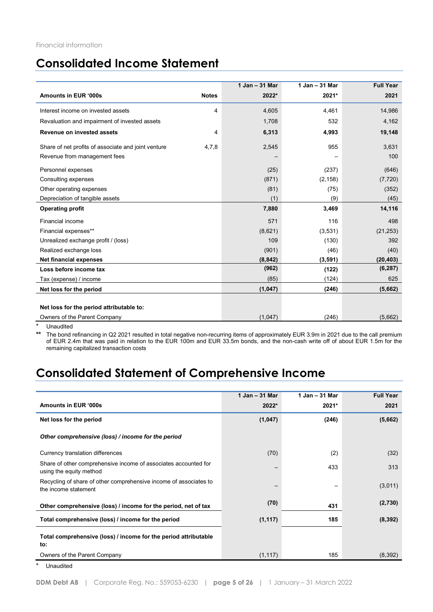# **Consolidated Income Statement**

|                                                              | 1 Jan - 31 Mar | 1 Jan - 31 Mar | <b>Full Year</b> |
|--------------------------------------------------------------|----------------|----------------|------------------|
| Amounts in EUR '000s<br><b>Notes</b>                         | 2022*          | 2021*          | 2021             |
| Interest income on invested assets                           | 4<br>4,605     | 4,461          | 14,986           |
| Revaluation and impairment of invested assets                | 1,708          | 532            | 4,162            |
| Revenue on invested assets                                   | 6,313<br>4     | 4,993          | 19,148           |
| Share of net profits of associate and joint venture<br>4,7,8 | 2,545          | 955            | 3,631            |
| Revenue from management fees                                 |                |                | 100              |
| Personnel expenses                                           | (25)           | (237)          | (646)            |
| Consulting expenses                                          | (871)          | (2, 158)       | (7, 720)         |
| Other operating expenses                                     | (81)           | (75)           | (352)            |
| Depreciation of tangible assets                              | (1)            | (9)            | (45)             |
| <b>Operating profit</b>                                      | 7,880          | 3,469          | 14,116           |
| Financial income                                             | 571            | 116            | 498              |
| Financial expenses**                                         | (8,621)        | (3,531)        | (21, 253)        |
| Unrealized exchange profit / (loss)                          | 109            | (130)          | 392              |
| Realized exchange loss                                       | (901)          | (46)           | (40)             |
| <b>Net financial expenses</b>                                | (8, 842)       | (3, 591)       | (20, 403)        |
| Loss before income tax                                       | (962)          | (122)          | (6, 287)         |
| Tax (expense) / income                                       | (85)           | (124)          | 625              |
| Net loss for the period                                      | (1,047)        | (246)          | (5,662)          |
| Net loss for the period attributable to:                     |                |                |                  |
| Owners of the Parent Company                                 | (1,047)        | (246)          | (5,662)          |

**Unaudited** 

**\*\*** The bond refinancing in Q2 2021 resulted in total negative non-recurring items of approximately EUR 3.9m in 2021 due to the call premium of EUR 2.4m that was paid in relation to the EUR 100m and EUR 33.5m bonds, and the non-cash write off of about EUR 1.5m for the remaining capitalized transaction costs

# **Consolidated Statement of Comprehensive Income**

|                                                                                            | 1 Jan - 31 Mar | 1 Jan - 31 Mar | <b>Full Year</b> |
|--------------------------------------------------------------------------------------------|----------------|----------------|------------------|
| <b>Amounts in EUR '000s</b>                                                                | 2022*          | 2021*          | 2021             |
| Net loss for the period                                                                    | (1,047)        | (246)          | (5,662)          |
| Other comprehensive (loss) / income for the period                                         |                |                |                  |
| Currency translation differences                                                           | (70)           | (2)            | (32)             |
| Share of other comprehensive income of associates accounted for<br>using the equity method |                | 433            | 313              |
| Recycling of share of other comprehensive income of associates to<br>the income statement  |                |                | (3,011)          |
| Other comprehensive (loss) / income for the period, net of tax                             | (70)           | 431            | (2,730)          |
| Total comprehensive (loss) / income for the period                                         | (1, 117)       | 185            | (8, 392)         |
| Total comprehensive (loss) / income for the period attributable<br>to:                     |                |                |                  |
| Owners of the Parent Company                                                               | (1, 117)       | 185            | (8, 392)         |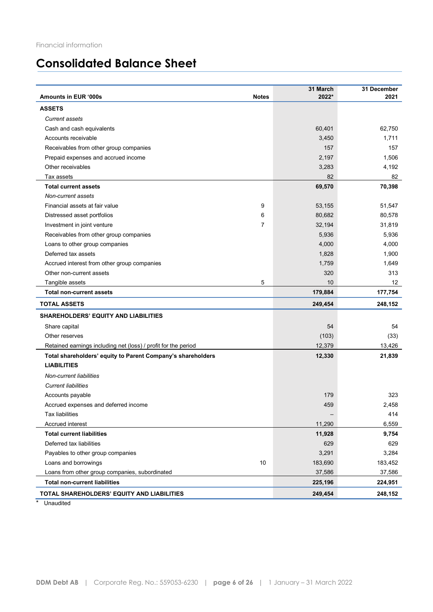# **Consolidated Balance Sheet**

| <b>ASSETS</b><br><b>Current assets</b><br>Cash and cash equivalents<br>60,401<br>62,750<br>1,711<br>Accounts receivable<br>3,450<br>157<br>Receivables from other group companies<br>157<br>Prepaid expenses and accrued income<br>2,197<br>1,506<br>Other receivables<br>3,283<br>4,192<br>82<br>82<br>Tax assets<br>69,570<br>70,398<br><b>Total current assets</b><br>Non-current assets<br>Financial assets at fair value<br>9<br>53,155<br>51,547<br>Distressed asset portfolios<br>6<br>80,682<br>80,578<br>$\overline{7}$<br>31,819<br>Investment in joint venture<br>32,194<br>5,936<br>Receivables from other group companies<br>5,936<br>Loans to other group companies<br>4,000<br>4,000<br>Deferred tax assets<br>1,828<br>1,900<br>Accrued interest from other group companies<br>1,759<br>1,649<br>Other non-current assets<br>320<br>313<br>5<br>Tangible assets<br>10<br>12<br><b>Total non-current assets</b><br>179,884<br>177,754<br><b>TOTAL ASSETS</b><br>249,454<br>248,152<br><b>SHAREHOLDERS' EQUITY AND LIABILITIES</b><br>54<br>Share capital<br>54<br>(103)<br>(33)<br>Other reserves<br>Retained earnings including net (loss) / profit for the period<br>12,379<br>13,426<br>21,839<br>Total shareholders' equity to Parent Company's shareholders<br>12,330<br><b>LIABILITIES</b><br>Non-current liabilities<br><b>Current liabilities</b><br>Accounts payable<br>179<br>323<br>459<br>Accrued expenses and deferred income<br>2,458<br><b>Tax liabilities</b><br>414<br>Accrued interest<br>11,290<br>6,559<br><b>Total current liabilities</b><br>11,928<br>9,754<br>Deferred tax liabilities<br>629<br>629<br>3,284<br>Payables to other group companies<br>3,291<br>Loans and borrowings<br>10<br>183,690<br>183,452<br>Loans from other group companies, subordinated<br>37,586<br>37,586<br><b>Total non-current liabilities</b><br>225,196<br>224,951<br>TOTAL SHAREHOLDERS' EQUITY AND LIABILITIES<br>249,454<br>248,152 | Amounts in EUR '000s | <b>Notes</b> | 31 March<br>2022* | 31 December<br>2021 |
|----------------------------------------------------------------------------------------------------------------------------------------------------------------------------------------------------------------------------------------------------------------------------------------------------------------------------------------------------------------------------------------------------------------------------------------------------------------------------------------------------------------------------------------------------------------------------------------------------------------------------------------------------------------------------------------------------------------------------------------------------------------------------------------------------------------------------------------------------------------------------------------------------------------------------------------------------------------------------------------------------------------------------------------------------------------------------------------------------------------------------------------------------------------------------------------------------------------------------------------------------------------------------------------------------------------------------------------------------------------------------------------------------------------------------------------------------------------------------------------------------------------------------------------------------------------------------------------------------------------------------------------------------------------------------------------------------------------------------------------------------------------------------------------------------------------------------------------------------------------------------------------------------------------------------------------------------------------|----------------------|--------------|-------------------|---------------------|
|                                                                                                                                                                                                                                                                                                                                                                                                                                                                                                                                                                                                                                                                                                                                                                                                                                                                                                                                                                                                                                                                                                                                                                                                                                                                                                                                                                                                                                                                                                                                                                                                                                                                                                                                                                                                                                                                                                                                                                |                      |              |                   |                     |
|                                                                                                                                                                                                                                                                                                                                                                                                                                                                                                                                                                                                                                                                                                                                                                                                                                                                                                                                                                                                                                                                                                                                                                                                                                                                                                                                                                                                                                                                                                                                                                                                                                                                                                                                                                                                                                                                                                                                                                |                      |              |                   |                     |
|                                                                                                                                                                                                                                                                                                                                                                                                                                                                                                                                                                                                                                                                                                                                                                                                                                                                                                                                                                                                                                                                                                                                                                                                                                                                                                                                                                                                                                                                                                                                                                                                                                                                                                                                                                                                                                                                                                                                                                |                      |              |                   |                     |
|                                                                                                                                                                                                                                                                                                                                                                                                                                                                                                                                                                                                                                                                                                                                                                                                                                                                                                                                                                                                                                                                                                                                                                                                                                                                                                                                                                                                                                                                                                                                                                                                                                                                                                                                                                                                                                                                                                                                                                |                      |              |                   |                     |
|                                                                                                                                                                                                                                                                                                                                                                                                                                                                                                                                                                                                                                                                                                                                                                                                                                                                                                                                                                                                                                                                                                                                                                                                                                                                                                                                                                                                                                                                                                                                                                                                                                                                                                                                                                                                                                                                                                                                                                |                      |              |                   |                     |
|                                                                                                                                                                                                                                                                                                                                                                                                                                                                                                                                                                                                                                                                                                                                                                                                                                                                                                                                                                                                                                                                                                                                                                                                                                                                                                                                                                                                                                                                                                                                                                                                                                                                                                                                                                                                                                                                                                                                                                |                      |              |                   |                     |
|                                                                                                                                                                                                                                                                                                                                                                                                                                                                                                                                                                                                                                                                                                                                                                                                                                                                                                                                                                                                                                                                                                                                                                                                                                                                                                                                                                                                                                                                                                                                                                                                                                                                                                                                                                                                                                                                                                                                                                |                      |              |                   |                     |
|                                                                                                                                                                                                                                                                                                                                                                                                                                                                                                                                                                                                                                                                                                                                                                                                                                                                                                                                                                                                                                                                                                                                                                                                                                                                                                                                                                                                                                                                                                                                                                                                                                                                                                                                                                                                                                                                                                                                                                |                      |              |                   |                     |
|                                                                                                                                                                                                                                                                                                                                                                                                                                                                                                                                                                                                                                                                                                                                                                                                                                                                                                                                                                                                                                                                                                                                                                                                                                                                                                                                                                                                                                                                                                                                                                                                                                                                                                                                                                                                                                                                                                                                                                |                      |              |                   |                     |
|                                                                                                                                                                                                                                                                                                                                                                                                                                                                                                                                                                                                                                                                                                                                                                                                                                                                                                                                                                                                                                                                                                                                                                                                                                                                                                                                                                                                                                                                                                                                                                                                                                                                                                                                                                                                                                                                                                                                                                |                      |              |                   |                     |
|                                                                                                                                                                                                                                                                                                                                                                                                                                                                                                                                                                                                                                                                                                                                                                                                                                                                                                                                                                                                                                                                                                                                                                                                                                                                                                                                                                                                                                                                                                                                                                                                                                                                                                                                                                                                                                                                                                                                                                |                      |              |                   |                     |
|                                                                                                                                                                                                                                                                                                                                                                                                                                                                                                                                                                                                                                                                                                                                                                                                                                                                                                                                                                                                                                                                                                                                                                                                                                                                                                                                                                                                                                                                                                                                                                                                                                                                                                                                                                                                                                                                                                                                                                |                      |              |                   |                     |
|                                                                                                                                                                                                                                                                                                                                                                                                                                                                                                                                                                                                                                                                                                                                                                                                                                                                                                                                                                                                                                                                                                                                                                                                                                                                                                                                                                                                                                                                                                                                                                                                                                                                                                                                                                                                                                                                                                                                                                |                      |              |                   |                     |
|                                                                                                                                                                                                                                                                                                                                                                                                                                                                                                                                                                                                                                                                                                                                                                                                                                                                                                                                                                                                                                                                                                                                                                                                                                                                                                                                                                                                                                                                                                                                                                                                                                                                                                                                                                                                                                                                                                                                                                |                      |              |                   |                     |
|                                                                                                                                                                                                                                                                                                                                                                                                                                                                                                                                                                                                                                                                                                                                                                                                                                                                                                                                                                                                                                                                                                                                                                                                                                                                                                                                                                                                                                                                                                                                                                                                                                                                                                                                                                                                                                                                                                                                                                |                      |              |                   |                     |
|                                                                                                                                                                                                                                                                                                                                                                                                                                                                                                                                                                                                                                                                                                                                                                                                                                                                                                                                                                                                                                                                                                                                                                                                                                                                                                                                                                                                                                                                                                                                                                                                                                                                                                                                                                                                                                                                                                                                                                |                      |              |                   |                     |
|                                                                                                                                                                                                                                                                                                                                                                                                                                                                                                                                                                                                                                                                                                                                                                                                                                                                                                                                                                                                                                                                                                                                                                                                                                                                                                                                                                                                                                                                                                                                                                                                                                                                                                                                                                                                                                                                                                                                                                |                      |              |                   |                     |
|                                                                                                                                                                                                                                                                                                                                                                                                                                                                                                                                                                                                                                                                                                                                                                                                                                                                                                                                                                                                                                                                                                                                                                                                                                                                                                                                                                                                                                                                                                                                                                                                                                                                                                                                                                                                                                                                                                                                                                |                      |              |                   |                     |
|                                                                                                                                                                                                                                                                                                                                                                                                                                                                                                                                                                                                                                                                                                                                                                                                                                                                                                                                                                                                                                                                                                                                                                                                                                                                                                                                                                                                                                                                                                                                                                                                                                                                                                                                                                                                                                                                                                                                                                |                      |              |                   |                     |
|                                                                                                                                                                                                                                                                                                                                                                                                                                                                                                                                                                                                                                                                                                                                                                                                                                                                                                                                                                                                                                                                                                                                                                                                                                                                                                                                                                                                                                                                                                                                                                                                                                                                                                                                                                                                                                                                                                                                                                |                      |              |                   |                     |
|                                                                                                                                                                                                                                                                                                                                                                                                                                                                                                                                                                                                                                                                                                                                                                                                                                                                                                                                                                                                                                                                                                                                                                                                                                                                                                                                                                                                                                                                                                                                                                                                                                                                                                                                                                                                                                                                                                                                                                |                      |              |                   |                     |
|                                                                                                                                                                                                                                                                                                                                                                                                                                                                                                                                                                                                                                                                                                                                                                                                                                                                                                                                                                                                                                                                                                                                                                                                                                                                                                                                                                                                                                                                                                                                                                                                                                                                                                                                                                                                                                                                                                                                                                |                      |              |                   |                     |
|                                                                                                                                                                                                                                                                                                                                                                                                                                                                                                                                                                                                                                                                                                                                                                                                                                                                                                                                                                                                                                                                                                                                                                                                                                                                                                                                                                                                                                                                                                                                                                                                                                                                                                                                                                                                                                                                                                                                                                |                      |              |                   |                     |
|                                                                                                                                                                                                                                                                                                                                                                                                                                                                                                                                                                                                                                                                                                                                                                                                                                                                                                                                                                                                                                                                                                                                                                                                                                                                                                                                                                                                                                                                                                                                                                                                                                                                                                                                                                                                                                                                                                                                                                |                      |              |                   |                     |
|                                                                                                                                                                                                                                                                                                                                                                                                                                                                                                                                                                                                                                                                                                                                                                                                                                                                                                                                                                                                                                                                                                                                                                                                                                                                                                                                                                                                                                                                                                                                                                                                                                                                                                                                                                                                                                                                                                                                                                |                      |              |                   |                     |
|                                                                                                                                                                                                                                                                                                                                                                                                                                                                                                                                                                                                                                                                                                                                                                                                                                                                                                                                                                                                                                                                                                                                                                                                                                                                                                                                                                                                                                                                                                                                                                                                                                                                                                                                                                                                                                                                                                                                                                |                      |              |                   |                     |
|                                                                                                                                                                                                                                                                                                                                                                                                                                                                                                                                                                                                                                                                                                                                                                                                                                                                                                                                                                                                                                                                                                                                                                                                                                                                                                                                                                                                                                                                                                                                                                                                                                                                                                                                                                                                                                                                                                                                                                |                      |              |                   |                     |
|                                                                                                                                                                                                                                                                                                                                                                                                                                                                                                                                                                                                                                                                                                                                                                                                                                                                                                                                                                                                                                                                                                                                                                                                                                                                                                                                                                                                                                                                                                                                                                                                                                                                                                                                                                                                                                                                                                                                                                |                      |              |                   |                     |
|                                                                                                                                                                                                                                                                                                                                                                                                                                                                                                                                                                                                                                                                                                                                                                                                                                                                                                                                                                                                                                                                                                                                                                                                                                                                                                                                                                                                                                                                                                                                                                                                                                                                                                                                                                                                                                                                                                                                                                |                      |              |                   |                     |
|                                                                                                                                                                                                                                                                                                                                                                                                                                                                                                                                                                                                                                                                                                                                                                                                                                                                                                                                                                                                                                                                                                                                                                                                                                                                                                                                                                                                                                                                                                                                                                                                                                                                                                                                                                                                                                                                                                                                                                |                      |              |                   |                     |
|                                                                                                                                                                                                                                                                                                                                                                                                                                                                                                                                                                                                                                                                                                                                                                                                                                                                                                                                                                                                                                                                                                                                                                                                                                                                                                                                                                                                                                                                                                                                                                                                                                                                                                                                                                                                                                                                                                                                                                |                      |              |                   |                     |
|                                                                                                                                                                                                                                                                                                                                                                                                                                                                                                                                                                                                                                                                                                                                                                                                                                                                                                                                                                                                                                                                                                                                                                                                                                                                                                                                                                                                                                                                                                                                                                                                                                                                                                                                                                                                                                                                                                                                                                |                      |              |                   |                     |
|                                                                                                                                                                                                                                                                                                                                                                                                                                                                                                                                                                                                                                                                                                                                                                                                                                                                                                                                                                                                                                                                                                                                                                                                                                                                                                                                                                                                                                                                                                                                                                                                                                                                                                                                                                                                                                                                                                                                                                |                      |              |                   |                     |
|                                                                                                                                                                                                                                                                                                                                                                                                                                                                                                                                                                                                                                                                                                                                                                                                                                                                                                                                                                                                                                                                                                                                                                                                                                                                                                                                                                                                                                                                                                                                                                                                                                                                                                                                                                                                                                                                                                                                                                |                      |              |                   |                     |
|                                                                                                                                                                                                                                                                                                                                                                                                                                                                                                                                                                                                                                                                                                                                                                                                                                                                                                                                                                                                                                                                                                                                                                                                                                                                                                                                                                                                                                                                                                                                                                                                                                                                                                                                                                                                                                                                                                                                                                |                      |              |                   |                     |
|                                                                                                                                                                                                                                                                                                                                                                                                                                                                                                                                                                                                                                                                                                                                                                                                                                                                                                                                                                                                                                                                                                                                                                                                                                                                                                                                                                                                                                                                                                                                                                                                                                                                                                                                                                                                                                                                                                                                                                |                      |              |                   |                     |
|                                                                                                                                                                                                                                                                                                                                                                                                                                                                                                                                                                                                                                                                                                                                                                                                                                                                                                                                                                                                                                                                                                                                                                                                                                                                                                                                                                                                                                                                                                                                                                                                                                                                                                                                                                                                                                                                                                                                                                |                      |              |                   |                     |
|                                                                                                                                                                                                                                                                                                                                                                                                                                                                                                                                                                                                                                                                                                                                                                                                                                                                                                                                                                                                                                                                                                                                                                                                                                                                                                                                                                                                                                                                                                                                                                                                                                                                                                                                                                                                                                                                                                                                                                |                      |              |                   |                     |
|                                                                                                                                                                                                                                                                                                                                                                                                                                                                                                                                                                                                                                                                                                                                                                                                                                                                                                                                                                                                                                                                                                                                                                                                                                                                                                                                                                                                                                                                                                                                                                                                                                                                                                                                                                                                                                                                                                                                                                |                      |              |                   |                     |
|                                                                                                                                                                                                                                                                                                                                                                                                                                                                                                                                                                                                                                                                                                                                                                                                                                                                                                                                                                                                                                                                                                                                                                                                                                                                                                                                                                                                                                                                                                                                                                                                                                                                                                                                                                                                                                                                                                                                                                |                      |              |                   |                     |
|                                                                                                                                                                                                                                                                                                                                                                                                                                                                                                                                                                                                                                                                                                                                                                                                                                                                                                                                                                                                                                                                                                                                                                                                                                                                                                                                                                                                                                                                                                                                                                                                                                                                                                                                                                                                                                                                                                                                                                |                      |              |                   |                     |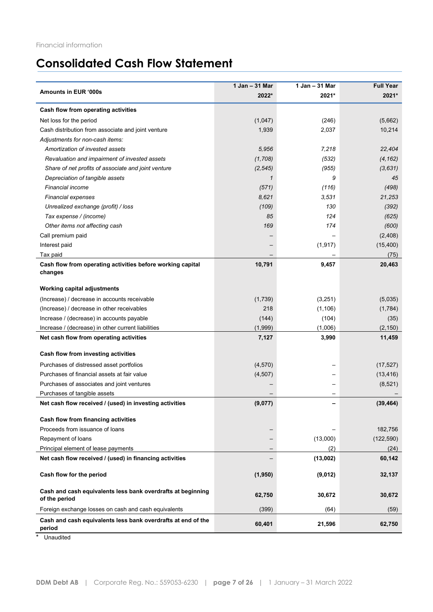# **Consolidated Cash Flow Statement**

| 2022*<br>2021*<br>Cash flow from operating activities<br>Net loss for the period<br>(1,047)<br>(246)<br>1,939<br>2,037<br>Cash distribution from associate and joint venture<br>Adjustments for non-cash items:<br>Amortization of invested assets<br>7,218<br>5,956<br>(1,708)<br>(532)<br>Revaluation and impairment of invested assets<br>Share of net profits of associate and joint venture<br>(2, 545)<br>(955)<br>Depreciation of tangible assets<br>9<br>1<br><b>Financial income</b><br>(116)<br>(571)<br>8,621<br>3,531<br><b>Financial expenses</b><br>(109)<br>130<br>Unrealized exchange (profit) / loss<br>85<br>Tax expense / (income)<br>124<br>Other items not affecting cash<br>169<br>174<br>Call premium paid<br>Interest paid<br>(1, 917)<br>Tax paid<br>Cash flow from operating activities before working capital<br>10,791<br>9,457<br>changes<br><b>Working capital adjustments</b><br>(Increase) / decrease in accounts receivable<br>(1,739)<br>(3,251)<br>(Increase) / decrease in other receivables<br>218<br>(1, 106)<br>Increase / (decrease) in accounts payable<br>(144)<br>(104)<br>Increase / (decrease) in other current liabilities<br>(1,999)<br>(1,006)<br>Net cash flow from operating activities<br>7,127<br>3,990<br>Cash flow from investing activities<br>Purchases of distressed asset portfolios<br>(4,570)<br>Purchases of financial assets at fair value<br>(4, 507)<br>Purchases of associates and joint ventures<br>(8,521)<br>Purchases of tangible assets<br>(9,077)<br>Net cash flow received / (used) in investing activities<br>Cash flow from financing activities<br>Proceeds from issuance of loans<br>(13,000)<br>Repayment of loans<br>Principal element of lease payments<br>(2)<br>Net cash flow received / (used) in financing activities<br>(13,002)<br>Cash flow for the period<br>(1, 950)<br>(9,012)<br>Cash and cash equivalents less bank overdrafts at beginning<br>62,750<br>30,672<br>of the period<br>Foreign exchange losses on cash and cash equivalents<br>(399)<br>(64)<br>Cash and cash equivalents less bank overdrafts at end of the<br>60,401<br>21,596 |                      | 1 Jan - 31 Mar | 1 Jan - 31 Mar | <b>Full Year</b> |
|------------------------------------------------------------------------------------------------------------------------------------------------------------------------------------------------------------------------------------------------------------------------------------------------------------------------------------------------------------------------------------------------------------------------------------------------------------------------------------------------------------------------------------------------------------------------------------------------------------------------------------------------------------------------------------------------------------------------------------------------------------------------------------------------------------------------------------------------------------------------------------------------------------------------------------------------------------------------------------------------------------------------------------------------------------------------------------------------------------------------------------------------------------------------------------------------------------------------------------------------------------------------------------------------------------------------------------------------------------------------------------------------------------------------------------------------------------------------------------------------------------------------------------------------------------------------------------------------------------------------------------------------------------------------------------------------------------------------------------------------------------------------------------------------------------------------------------------------------------------------------------------------------------------------------------------------------------------------------------------------------------------------------------------------------------------------------------------------------------------------------------------|----------------------|----------------|----------------|------------------|
|                                                                                                                                                                                                                                                                                                                                                                                                                                                                                                                                                                                                                                                                                                                                                                                                                                                                                                                                                                                                                                                                                                                                                                                                                                                                                                                                                                                                                                                                                                                                                                                                                                                                                                                                                                                                                                                                                                                                                                                                                                                                                                                                          | Amounts in EUR '000s |                |                | 2021*            |
|                                                                                                                                                                                                                                                                                                                                                                                                                                                                                                                                                                                                                                                                                                                                                                                                                                                                                                                                                                                                                                                                                                                                                                                                                                                                                                                                                                                                                                                                                                                                                                                                                                                                                                                                                                                                                                                                                                                                                                                                                                                                                                                                          |                      |                |                |                  |
|                                                                                                                                                                                                                                                                                                                                                                                                                                                                                                                                                                                                                                                                                                                                                                                                                                                                                                                                                                                                                                                                                                                                                                                                                                                                                                                                                                                                                                                                                                                                                                                                                                                                                                                                                                                                                                                                                                                                                                                                                                                                                                                                          |                      |                |                | (5,662)          |
|                                                                                                                                                                                                                                                                                                                                                                                                                                                                                                                                                                                                                                                                                                                                                                                                                                                                                                                                                                                                                                                                                                                                                                                                                                                                                                                                                                                                                                                                                                                                                                                                                                                                                                                                                                                                                                                                                                                                                                                                                                                                                                                                          |                      |                |                | 10,214           |
|                                                                                                                                                                                                                                                                                                                                                                                                                                                                                                                                                                                                                                                                                                                                                                                                                                                                                                                                                                                                                                                                                                                                                                                                                                                                                                                                                                                                                                                                                                                                                                                                                                                                                                                                                                                                                                                                                                                                                                                                                                                                                                                                          |                      |                |                |                  |
|                                                                                                                                                                                                                                                                                                                                                                                                                                                                                                                                                                                                                                                                                                                                                                                                                                                                                                                                                                                                                                                                                                                                                                                                                                                                                                                                                                                                                                                                                                                                                                                                                                                                                                                                                                                                                                                                                                                                                                                                                                                                                                                                          |                      |                |                | 22,404           |
|                                                                                                                                                                                                                                                                                                                                                                                                                                                                                                                                                                                                                                                                                                                                                                                                                                                                                                                                                                                                                                                                                                                                                                                                                                                                                                                                                                                                                                                                                                                                                                                                                                                                                                                                                                                                                                                                                                                                                                                                                                                                                                                                          |                      |                |                | (4, 162)         |
|                                                                                                                                                                                                                                                                                                                                                                                                                                                                                                                                                                                                                                                                                                                                                                                                                                                                                                                                                                                                                                                                                                                                                                                                                                                                                                                                                                                                                                                                                                                                                                                                                                                                                                                                                                                                                                                                                                                                                                                                                                                                                                                                          |                      |                |                | (3, 631)         |
|                                                                                                                                                                                                                                                                                                                                                                                                                                                                                                                                                                                                                                                                                                                                                                                                                                                                                                                                                                                                                                                                                                                                                                                                                                                                                                                                                                                                                                                                                                                                                                                                                                                                                                                                                                                                                                                                                                                                                                                                                                                                                                                                          |                      |                |                | 45               |
|                                                                                                                                                                                                                                                                                                                                                                                                                                                                                                                                                                                                                                                                                                                                                                                                                                                                                                                                                                                                                                                                                                                                                                                                                                                                                                                                                                                                                                                                                                                                                                                                                                                                                                                                                                                                                                                                                                                                                                                                                                                                                                                                          |                      |                |                | (498)            |
|                                                                                                                                                                                                                                                                                                                                                                                                                                                                                                                                                                                                                                                                                                                                                                                                                                                                                                                                                                                                                                                                                                                                                                                                                                                                                                                                                                                                                                                                                                                                                                                                                                                                                                                                                                                                                                                                                                                                                                                                                                                                                                                                          |                      |                |                | 21,253           |
|                                                                                                                                                                                                                                                                                                                                                                                                                                                                                                                                                                                                                                                                                                                                                                                                                                                                                                                                                                                                                                                                                                                                                                                                                                                                                                                                                                                                                                                                                                                                                                                                                                                                                                                                                                                                                                                                                                                                                                                                                                                                                                                                          |                      |                |                | (392)            |
|                                                                                                                                                                                                                                                                                                                                                                                                                                                                                                                                                                                                                                                                                                                                                                                                                                                                                                                                                                                                                                                                                                                                                                                                                                                                                                                                                                                                                                                                                                                                                                                                                                                                                                                                                                                                                                                                                                                                                                                                                                                                                                                                          |                      |                |                | (625)            |
|                                                                                                                                                                                                                                                                                                                                                                                                                                                                                                                                                                                                                                                                                                                                                                                                                                                                                                                                                                                                                                                                                                                                                                                                                                                                                                                                                                                                                                                                                                                                                                                                                                                                                                                                                                                                                                                                                                                                                                                                                                                                                                                                          |                      |                |                | (600)            |
|                                                                                                                                                                                                                                                                                                                                                                                                                                                                                                                                                                                                                                                                                                                                                                                                                                                                                                                                                                                                                                                                                                                                                                                                                                                                                                                                                                                                                                                                                                                                                                                                                                                                                                                                                                                                                                                                                                                                                                                                                                                                                                                                          |                      |                |                | (2,408)          |
|                                                                                                                                                                                                                                                                                                                                                                                                                                                                                                                                                                                                                                                                                                                                                                                                                                                                                                                                                                                                                                                                                                                                                                                                                                                                                                                                                                                                                                                                                                                                                                                                                                                                                                                                                                                                                                                                                                                                                                                                                                                                                                                                          |                      |                |                | (15, 400)        |
|                                                                                                                                                                                                                                                                                                                                                                                                                                                                                                                                                                                                                                                                                                                                                                                                                                                                                                                                                                                                                                                                                                                                                                                                                                                                                                                                                                                                                                                                                                                                                                                                                                                                                                                                                                                                                                                                                                                                                                                                                                                                                                                                          |                      |                |                | (75)             |
|                                                                                                                                                                                                                                                                                                                                                                                                                                                                                                                                                                                                                                                                                                                                                                                                                                                                                                                                                                                                                                                                                                                                                                                                                                                                                                                                                                                                                                                                                                                                                                                                                                                                                                                                                                                                                                                                                                                                                                                                                                                                                                                                          |                      |                |                | 20,463           |
|                                                                                                                                                                                                                                                                                                                                                                                                                                                                                                                                                                                                                                                                                                                                                                                                                                                                                                                                                                                                                                                                                                                                                                                                                                                                                                                                                                                                                                                                                                                                                                                                                                                                                                                                                                                                                                                                                                                                                                                                                                                                                                                                          |                      |                |                |                  |
|                                                                                                                                                                                                                                                                                                                                                                                                                                                                                                                                                                                                                                                                                                                                                                                                                                                                                                                                                                                                                                                                                                                                                                                                                                                                                                                                                                                                                                                                                                                                                                                                                                                                                                                                                                                                                                                                                                                                                                                                                                                                                                                                          |                      |                |                | (5,035)          |
|                                                                                                                                                                                                                                                                                                                                                                                                                                                                                                                                                                                                                                                                                                                                                                                                                                                                                                                                                                                                                                                                                                                                                                                                                                                                                                                                                                                                                                                                                                                                                                                                                                                                                                                                                                                                                                                                                                                                                                                                                                                                                                                                          |                      |                |                | (1,784)          |
|                                                                                                                                                                                                                                                                                                                                                                                                                                                                                                                                                                                                                                                                                                                                                                                                                                                                                                                                                                                                                                                                                                                                                                                                                                                                                                                                                                                                                                                                                                                                                                                                                                                                                                                                                                                                                                                                                                                                                                                                                                                                                                                                          |                      |                |                | (35)             |
|                                                                                                                                                                                                                                                                                                                                                                                                                                                                                                                                                                                                                                                                                                                                                                                                                                                                                                                                                                                                                                                                                                                                                                                                                                                                                                                                                                                                                                                                                                                                                                                                                                                                                                                                                                                                                                                                                                                                                                                                                                                                                                                                          |                      |                |                | (2, 150)         |
|                                                                                                                                                                                                                                                                                                                                                                                                                                                                                                                                                                                                                                                                                                                                                                                                                                                                                                                                                                                                                                                                                                                                                                                                                                                                                                                                                                                                                                                                                                                                                                                                                                                                                                                                                                                                                                                                                                                                                                                                                                                                                                                                          |                      |                |                | 11,459           |
|                                                                                                                                                                                                                                                                                                                                                                                                                                                                                                                                                                                                                                                                                                                                                                                                                                                                                                                                                                                                                                                                                                                                                                                                                                                                                                                                                                                                                                                                                                                                                                                                                                                                                                                                                                                                                                                                                                                                                                                                                                                                                                                                          |                      |                |                |                  |
|                                                                                                                                                                                                                                                                                                                                                                                                                                                                                                                                                                                                                                                                                                                                                                                                                                                                                                                                                                                                                                                                                                                                                                                                                                                                                                                                                                                                                                                                                                                                                                                                                                                                                                                                                                                                                                                                                                                                                                                                                                                                                                                                          |                      |                |                | (17, 527)        |
|                                                                                                                                                                                                                                                                                                                                                                                                                                                                                                                                                                                                                                                                                                                                                                                                                                                                                                                                                                                                                                                                                                                                                                                                                                                                                                                                                                                                                                                                                                                                                                                                                                                                                                                                                                                                                                                                                                                                                                                                                                                                                                                                          |                      |                |                | (13, 416)        |
|                                                                                                                                                                                                                                                                                                                                                                                                                                                                                                                                                                                                                                                                                                                                                                                                                                                                                                                                                                                                                                                                                                                                                                                                                                                                                                                                                                                                                                                                                                                                                                                                                                                                                                                                                                                                                                                                                                                                                                                                                                                                                                                                          |                      |                |                |                  |
|                                                                                                                                                                                                                                                                                                                                                                                                                                                                                                                                                                                                                                                                                                                                                                                                                                                                                                                                                                                                                                                                                                                                                                                                                                                                                                                                                                                                                                                                                                                                                                                                                                                                                                                                                                                                                                                                                                                                                                                                                                                                                                                                          |                      |                |                |                  |
|                                                                                                                                                                                                                                                                                                                                                                                                                                                                                                                                                                                                                                                                                                                                                                                                                                                                                                                                                                                                                                                                                                                                                                                                                                                                                                                                                                                                                                                                                                                                                                                                                                                                                                                                                                                                                                                                                                                                                                                                                                                                                                                                          |                      |                |                | (39, 464)        |
|                                                                                                                                                                                                                                                                                                                                                                                                                                                                                                                                                                                                                                                                                                                                                                                                                                                                                                                                                                                                                                                                                                                                                                                                                                                                                                                                                                                                                                                                                                                                                                                                                                                                                                                                                                                                                                                                                                                                                                                                                                                                                                                                          |                      |                |                |                  |
|                                                                                                                                                                                                                                                                                                                                                                                                                                                                                                                                                                                                                                                                                                                                                                                                                                                                                                                                                                                                                                                                                                                                                                                                                                                                                                                                                                                                                                                                                                                                                                                                                                                                                                                                                                                                                                                                                                                                                                                                                                                                                                                                          |                      |                |                | 182,756          |
|                                                                                                                                                                                                                                                                                                                                                                                                                                                                                                                                                                                                                                                                                                                                                                                                                                                                                                                                                                                                                                                                                                                                                                                                                                                                                                                                                                                                                                                                                                                                                                                                                                                                                                                                                                                                                                                                                                                                                                                                                                                                                                                                          |                      |                |                | (122, 590)       |
|                                                                                                                                                                                                                                                                                                                                                                                                                                                                                                                                                                                                                                                                                                                                                                                                                                                                                                                                                                                                                                                                                                                                                                                                                                                                                                                                                                                                                                                                                                                                                                                                                                                                                                                                                                                                                                                                                                                                                                                                                                                                                                                                          |                      |                |                | (24)             |
|                                                                                                                                                                                                                                                                                                                                                                                                                                                                                                                                                                                                                                                                                                                                                                                                                                                                                                                                                                                                                                                                                                                                                                                                                                                                                                                                                                                                                                                                                                                                                                                                                                                                                                                                                                                                                                                                                                                                                                                                                                                                                                                                          |                      |                |                | 60,142           |
|                                                                                                                                                                                                                                                                                                                                                                                                                                                                                                                                                                                                                                                                                                                                                                                                                                                                                                                                                                                                                                                                                                                                                                                                                                                                                                                                                                                                                                                                                                                                                                                                                                                                                                                                                                                                                                                                                                                                                                                                                                                                                                                                          |                      |                |                | 32,137           |
|                                                                                                                                                                                                                                                                                                                                                                                                                                                                                                                                                                                                                                                                                                                                                                                                                                                                                                                                                                                                                                                                                                                                                                                                                                                                                                                                                                                                                                                                                                                                                                                                                                                                                                                                                                                                                                                                                                                                                                                                                                                                                                                                          |                      |                |                | 30,672           |
|                                                                                                                                                                                                                                                                                                                                                                                                                                                                                                                                                                                                                                                                                                                                                                                                                                                                                                                                                                                                                                                                                                                                                                                                                                                                                                                                                                                                                                                                                                                                                                                                                                                                                                                                                                                                                                                                                                                                                                                                                                                                                                                                          |                      |                |                | (59)             |
|                                                                                                                                                                                                                                                                                                                                                                                                                                                                                                                                                                                                                                                                                                                                                                                                                                                                                                                                                                                                                                                                                                                                                                                                                                                                                                                                                                                                                                                                                                                                                                                                                                                                                                                                                                                                                                                                                                                                                                                                                                                                                                                                          | period               |                |                | 62,750           |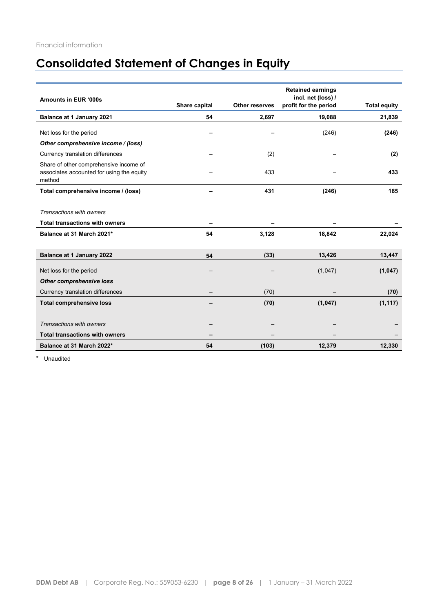# **Consolidated Statement of Changes in Equity**

| Amounts in EUR '000s                                                                          | Share capital | <b>Other reserves</b> | <b>Retained earnings</b><br>incl. net (loss) /<br>profit for the period | <b>Total equity</b> |
|-----------------------------------------------------------------------------------------------|---------------|-----------------------|-------------------------------------------------------------------------|---------------------|
| Balance at 1 January 2021                                                                     | 54            | 2,697                 | 19,088                                                                  | 21,839              |
| Net loss for the period                                                                       |               |                       | (246)                                                                   | (246)               |
| Other comprehensive income / (loss)                                                           |               |                       |                                                                         |                     |
| Currency translation differences                                                              |               | (2)                   |                                                                         | (2)                 |
| Share of other comprehensive income of<br>associates accounted for using the equity<br>method |               | 433                   |                                                                         | 433                 |
| Total comprehensive income / (loss)                                                           |               | 431                   | (246)                                                                   | 185                 |
|                                                                                               |               |                       |                                                                         |                     |
| Transactions with owners                                                                      |               |                       |                                                                         |                     |
| <b>Total transactions with owners</b>                                                         |               |                       |                                                                         |                     |
| Balance at 31 March 2021*                                                                     | 54            | 3,128                 | 18,842                                                                  | 22,024              |
|                                                                                               |               |                       |                                                                         |                     |
| Balance at 1 January 2022                                                                     | 54            | (33)                  | 13,426                                                                  | 13,447              |
| Net loss for the period                                                                       |               |                       | (1,047)                                                                 | (1,047)             |
| <b>Other comprehensive loss</b>                                                               |               |                       |                                                                         |                     |
| Currency translation differences                                                              |               | (70)                  |                                                                         | (70)                |
| <b>Total comprehensive loss</b>                                                               |               | (70)                  | (1,047)                                                                 | (1, 117)            |
|                                                                                               |               |                       |                                                                         |                     |
| Transactions with owners                                                                      |               |                       |                                                                         |                     |
| <b>Total transactions with owners</b>                                                         |               |                       |                                                                         |                     |
| Balance at 31 March 2022*                                                                     | 54            | (103)                 | 12,379                                                                  | 12,330              |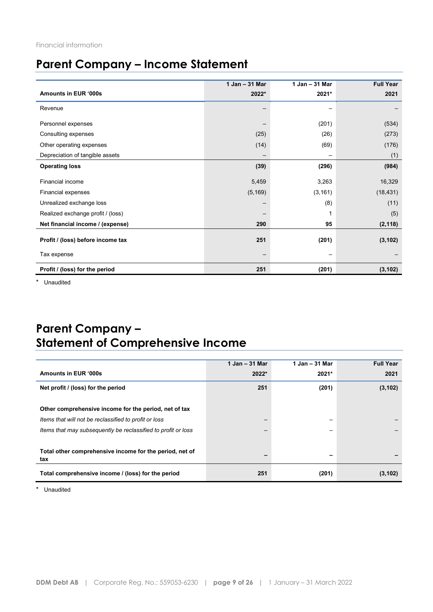# **Parent Company – Income Statement**

|                                   | 1 Jan - 31 Mar           | 1 Jan - 31 Mar | <b>Full Year</b> |
|-----------------------------------|--------------------------|----------------|------------------|
| Amounts in EUR '000s              | 2022*                    | 2021*          | 2021             |
| Revenue                           |                          |                |                  |
| Personnel expenses                |                          | (201)          | (534)            |
| Consulting expenses               | (25)                     | (26)           | (273)            |
| Other operating expenses          | (14)                     | (69)           | (176)            |
| Depreciation of tangible assets   |                          | -              | (1)              |
| <b>Operating loss</b>             | (39)                     | (296)          | (984)            |
| <b>Financial income</b>           | 5,459                    | 3,263          | 16,329           |
| Financial expenses                | (5, 169)                 | (3, 161)       | (18, 431)        |
| Unrealized exchange loss          |                          | (8)            | (11)             |
| Realized exchange profit / (loss) |                          | 1              | (5)              |
| Net financial income / (expense)  | 290                      | 95             | (2, 118)         |
| Profit / (loss) before income tax | 251                      | (201)          | (3, 102)         |
| Tax expense                       | $\overline{\phantom{0}}$ | —              |                  |
| Profit / (loss) for the period    | 251                      | (201)          | (3, 102)         |

\* Unaudited

# **Parent Company – Statement of Comprehensive Income**

|                                                                | 1 Jan - 31 Mar | $1$ Jan $-$ 31 Mar | <b>Full Year</b> |
|----------------------------------------------------------------|----------------|--------------------|------------------|
| Amounts in EUR '000s                                           | 2022*          | 2021*              | 2021             |
| Net profit / (loss) for the period                             | 251            | (201)              | (3, 102)         |
|                                                                |                |                    |                  |
| Other comprehensive income for the period, net of tax          |                |                    |                  |
| Items that will not be reclassified to profit or loss          |                | -                  |                  |
| Items that may subsequently be reclassified to profit or loss  |                |                    |                  |
|                                                                |                |                    |                  |
| Total other comprehensive income for the period, net of<br>tax |                | -                  |                  |
| Total comprehensive income / (loss) for the period             | 251            | (201)              | (3, 102)         |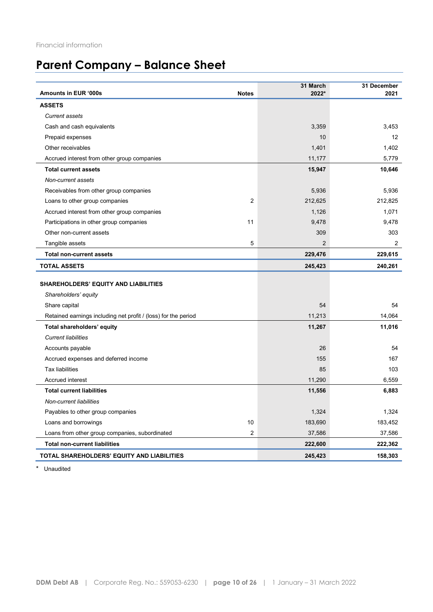# **Parent Company – Balance Sheet**

| <b>Amounts in EUR '000s</b>                                    | <b>Notes</b>   | 31 March<br>2022* | 31 December<br>2021 |
|----------------------------------------------------------------|----------------|-------------------|---------------------|
| <b>ASSETS</b>                                                  |                |                   |                     |
| Current assets                                                 |                |                   |                     |
| Cash and cash equivalents                                      |                | 3,359             | 3,453               |
| Prepaid expenses                                               |                | 10                | $12 \overline{ }$   |
| Other receivables                                              |                | 1,401             | 1,402               |
| Accrued interest from other group companies                    |                | 11,177            | 5,779               |
| <b>Total current assets</b>                                    |                | 15,947            | 10,646              |
| Non-current assets                                             |                |                   |                     |
| Receivables from other group companies                         |                | 5,936             | 5,936               |
| Loans to other group companies                                 | $\overline{2}$ | 212,625           | 212,825             |
| Accrued interest from other group companies                    |                | 1,126             | 1,071               |
| Participations in other group companies                        | 11             | 9,478             | 9,478               |
| Other non-current assets                                       |                | 309               | 303                 |
| Tangible assets                                                | 5              | $\overline{2}$    | 2                   |
| <b>Total non-current assets</b>                                |                | 229,476           | 229,615             |
| <b>TOTAL ASSETS</b>                                            |                | 245,423           | 240,261             |
| <b>SHAREHOLDERS' EQUITY AND LIABILITIES</b>                    |                |                   |                     |
| Shareholders' equity                                           |                |                   |                     |
| Share capital                                                  |                | 54                | 54                  |
| Retained earnings including net profit / (loss) for the period |                | 11,213            | 14,064              |
| Total shareholders' equity                                     |                | 11,267            | 11,016              |
| <b>Current liabilities</b>                                     |                |                   |                     |
| Accounts payable                                               |                | 26                | 54                  |
| Accrued expenses and deferred income                           |                | 155               | 167                 |
| <b>Tax liabilities</b>                                         |                | 85                | 103                 |
| Accrued interest                                               |                | 11,290            | 6,559               |
| <b>Total current liabilities</b>                               |                | 11,556            | 6,883               |
| Non-current liabilities                                        |                |                   |                     |
| Payables to other group companies                              |                | 1,324             | 1,324               |
| Loans and borrowings                                           | 10             | 183,690           | 183,452             |
| Loans from other group companies, subordinated                 | 2              | 37,586            | 37,586              |
| <b>Total non-current liabilities</b>                           |                | 222,600           | 222,362             |
| TOTAL SHAREHOLDERS' EQUITY AND LIABILITIES                     |                | 245,423           | 158,303             |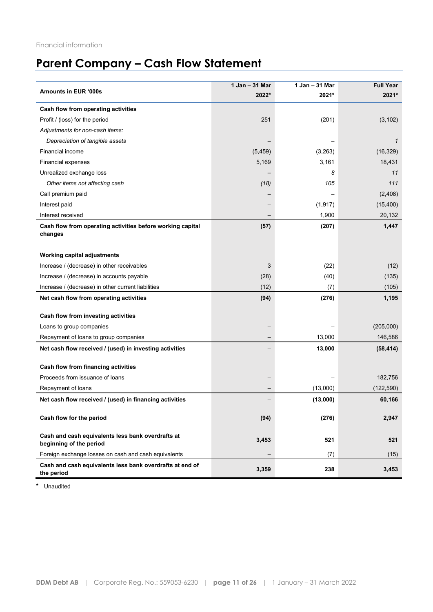# **Parent Company – Cash Flow Statement**

|                                                                              | 1 Jan - 31 Mar    | 1 Jan - 31 Mar | <b>Full Year</b> |
|------------------------------------------------------------------------------|-------------------|----------------|------------------|
| Amounts in EUR '000s                                                         | 2022*             | 2021*          | 2021*            |
| Cash flow from operating activities                                          |                   |                |                  |
| Profit / (loss) for the period                                               | 251               | (201)          | (3, 102)         |
| Adjustments for non-cash items:                                              |                   |                |                  |
| Depreciation of tangible assets                                              |                   |                | 1                |
| Financial income                                                             | (5, 459)          | (3, 263)       | (16, 329)        |
| <b>Financial expenses</b>                                                    | 5,169             | 3,161          | 18,431           |
| Unrealized exchange loss                                                     |                   | 8              | 11               |
| Other items not affecting cash                                               | (18)              | 105            | 111              |
| Call premium paid                                                            |                   |                | (2,408)          |
| Interest paid                                                                |                   | (1, 917)       | (15, 400)        |
| Interest received                                                            |                   | 1,900          | 20,132           |
| Cash flow from operating activities before working capital<br>changes        | (57)              | (207)          | 1,447            |
| <b>Working capital adjustments</b>                                           |                   |                |                  |
| Increase / (decrease) in other receivables                                   | 3                 | (22)           | (12)             |
| Increase / (decrease) in accounts payable                                    | (28)              | (40)           | (135)            |
| Increase / (decrease) in other current liabilities                           | (12)              | (7)            | (105)            |
| Net cash flow from operating activities                                      | (94)              | (276)          | 1,195            |
|                                                                              |                   |                |                  |
| Cash flow from investing activities                                          |                   |                |                  |
| Loans to group companies                                                     |                   |                | (205,000)        |
| Repayment of loans to group companies                                        |                   | 13,000         | 146,586          |
| Net cash flow received / (used) in investing activities                      |                   | 13,000         | (58, 414)        |
| Cash flow from financing activities                                          |                   |                |                  |
| Proceeds from issuance of loans                                              |                   |                | 182,756          |
| Repayment of loans                                                           |                   | (13,000)       | (122, 590)       |
| Net cash flow received / (used) in financing activities                      |                   | (13,000)       | 60,166           |
|                                                                              |                   |                |                  |
| Cash flow for the period                                                     | (94)              | (276)          | 2,947            |
| Cash and cash equivalents less bank overdrafts at<br>beginning of the period | 3,453             | 521            | 521              |
| Foreign exchange losses on cash and cash equivalents                         | $\qquad \qquad -$ | (7)            | (15)             |
| Cash and cash equivalents less bank overdrafts at end of<br>the period       | 3,359             | 238            | 3,453            |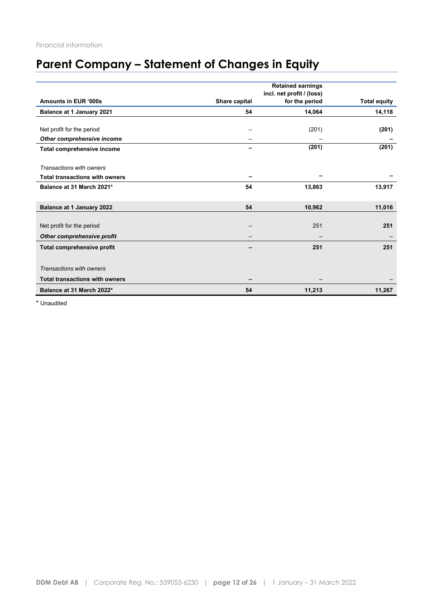# **Parent Company – Statement of Changes in Equity**

|                                       |               | <b>Retained earnings</b><br>incl. net profit / (loss) |                     |
|---------------------------------------|---------------|-------------------------------------------------------|---------------------|
| Amounts in EUR '000s                  | Share capital | for the period                                        | <b>Total equity</b> |
| Balance at 1 January 2021             | 54            | 14,064                                                | 14,118              |
|                                       |               |                                                       |                     |
| Net profit for the period             |               | (201)                                                 | (201)               |
| Other comprehensive income            |               |                                                       |                     |
| Total comprehensive income            | -             | (201)                                                 | (201)               |
|                                       |               |                                                       |                     |
| Transactions with owners              |               |                                                       |                     |
| <b>Total transactions with owners</b> |               |                                                       |                     |
| Balance at 31 March 2021*             | 54            | 13,863                                                | 13,917              |
|                                       |               |                                                       |                     |
| <b>Balance at 1 January 2022</b>      | 54            | 10,962                                                | 11,016              |
|                                       |               |                                                       |                     |
| Net profit for the period             |               | 251                                                   | 251                 |
| Other comprehensive profit            |               |                                                       |                     |
| <b>Total comprehensive profit</b>     |               | 251                                                   | 251                 |
|                                       |               |                                                       |                     |
| Transactions with owners              |               |                                                       |                     |
| <b>Total transactions with owners</b> |               |                                                       |                     |
|                                       |               |                                                       |                     |
| Balance at 31 March 2022*             | 54            | 11,213                                                | 11,267              |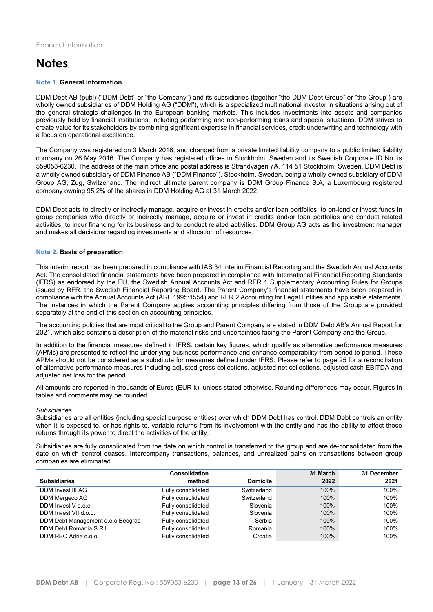# **Notes**

#### **Note 1. General information**

DDM Debt AB (publ) ("DDM Debt" or "the Company") and its subsidiaries (together "the DDM Debt Group" or "the Group") are wholly owned subsidiaries of DDM Holding AG ("DDM"), which is a specialized multinational investor in situations arising out of the general strategic challenges in the European banking markets. This includes investments into assets and companies previously held by financial institutions, including performing and non-performing loans and special situations. DDM strives to create value for its stakeholders by combining significant expertise in financial services, credit underwriting and technology with a focus on operational excellence.

The Company was registered on 3 March 2016, and changed from a private limited liability company to a public limited liability company on 26 May 2016. The Company has registered offices in Stockholm, Sweden and its Swedish Corporate ID No. is 559053-6230. The address of the main office and postal address is Strandvägen 7A, 114 51 Stockholm, Sweden. DDM Debt is a wholly owned subsidiary of DDM Finance AB ("DDM Finance"), Stockholm, Sweden, being a wholly owned subsidiary of DDM Group AG, Zug, Switzerland. The indirect ultimate parent company is DDM Group Finance S.A, a Luxembourg registered company owning 95.2% of the shares in DDM Holding AG at 31 March 2022.

DDM Debt acts to directly or indirectly manage, acquire or invest in credits and/or loan portfolios, to on-lend or invest funds in group companies who directly or indirectly manage, acquire or invest in credits and/or loan portfolios and conduct related activities, to incur financing for its business and to conduct related activities. DDM Group AG acts as the investment manager and makes all decisions regarding investments and allocation of resources.

#### **Note 2. Basis of preparation**

This interim report has been prepared in compliance with IAS 34 Interim Financial Reporting and the Swedish Annual Accounts Act. The consolidated financial statements have been prepared in compliance with International Financial Reporting Standards (IFRS) as endorsed by the EU, the Swedish Annual Accounts Act and RFR 1 Supplementary Accounting Rules for Groups issued by RFR, the Swedish Financial Reporting Board. The Parent Company's financial statements have been prepared in compliance with the Annual Accounts Act (ÅRL 1995:1554) and RFR 2 Accounting for Legal Entities and applicable statements. The instances in which the Parent Company applies accounting principles differing from those of the Group are provided separately at the end of this section on accounting principles.

The accounting policies that are most critical to the Group and Parent Company are stated in DDM Debt AB's Annual Report for 2021, which also contains a description of the material risks and uncertainties facing the Parent Company and the Group.

In addition to the financial measures defined in IFRS, certain key figures, which qualify as alternative performance measures (APMs) are presented to reflect the underlying business performance and enhance comparability from period to period. These APMs should not be considered as a substitute for measures defined under IFRS. Please refer to page 25 for a reconciliation of alternative performance measures including adjusted gross collections, adjusted net collections, adjusted cash EBITDA and adjusted net loss for the period.

All amounts are reported in thousands of Euros (EUR k), unless stated otherwise. Rounding differences may occur. Figures in tables and comments may be rounded.

#### *Subsidiaries*

Subsidiaries are all entities (including special purpose entities) over which DDM Debt has control. DDM Debt controls an entity when it is exposed to, or has rights to, variable returns from its involvement with the entity and has the ability to affect those returns through its power to direct the activities of the entity.

Subsidiaries are fully consolidated from the date on which control is transferred to the group and are de-consolidated from the date on which control ceases. Intercompany transactions, balances, and unrealized gains on transactions between group companies are eliminated.

|                                   | Consolidation      |                 | 31 March | 31 December |
|-----------------------------------|--------------------|-----------------|----------|-------------|
| <b>Subsidiaries</b>               | method             | <b>Domicile</b> | 2022     | 2021        |
| <b>DDM Invest III AG</b>          | Fully consolidated | Switzerland     | 100%     | 100%        |
| DDM Mergeco AG                    | Fully consolidated | Switzerland     | 100%     | 100%        |
| DDM Invest V d.o.o.               | Fully consolidated | Slovenia        | 100%     | 100%        |
| DDM Invest VII d.o.o.             | Fully consolidated | Slovenia        | 100%     | 100%        |
| DDM Debt Management d.o.o Beograd | Fully consolidated | Serbia          | 100%     | 100%        |
| DDM Debt Romania S.R.L            | Fully consolidated | Romania         | 100%     | 100%        |
| DDM REO Adria d.o.o.              | Fully consolidated | Croatia         | 100%     | 100%        |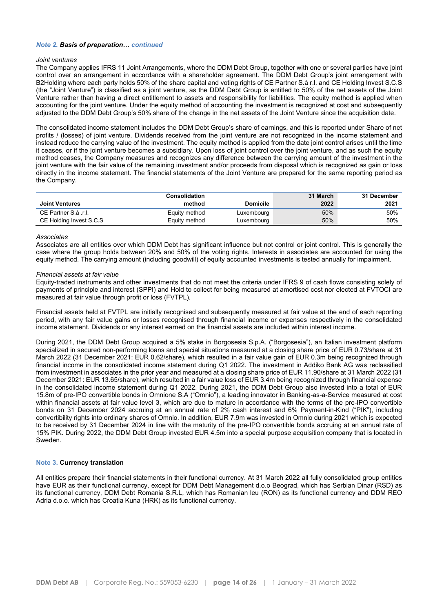## *Note 2. Basis of preparation… continued*

#### *Joint ventures*

The Company applies IFRS 11 Joint Arrangements, where the DDM Debt Group, together with one or several parties have joint control over an arrangement in accordance with a shareholder agreement. The DDM Debt Group's joint arrangement with B2Holding where each party holds 50% of the share capital and voting rights of CE Partner S.à r.l. and CE Holding Invest S.C.S (the "Joint Venture") is classified as a joint venture, as the DDM Debt Group is entitled to 50% of the net assets of the Joint Venture rather than having a direct entitlement to assets and responsibility for liabilities. The equity method is applied when accounting for the joint venture. Under the equity method of accounting the investment is recognized at cost and subsequently adjusted to the DDM Debt Group's 50% share of the change in the net assets of the Joint Venture since the acquisition date.

The consolidated income statement includes the DDM Debt Group's share of earnings, and this is reported under Share of net profits / (losses) of joint venture. Dividends received from the joint venture are not recognized in the income statement and instead reduce the carrying value of the investment. The equity method is applied from the date joint control arises until the time it ceases, or if the joint venture becomes a subsidiary. Upon loss of joint control over the joint venture, and as such the equity method ceases, the Company measures and recognizes any difference between the carrying amount of the investment in the joint venture with the fair value of the remaining investment and/or proceeds from disposal which is recognized as gain or loss directly in the income statement. The financial statements of the Joint Venture are prepared for the same reporting period as the Company.

|                         | Consolidation |            | 31 March | 31 December |
|-------------------------|---------------|------------|----------|-------------|
| <b>Joint Ventures</b>   | method        | Domicile   | 2022     | 2021        |
| CE Partner S.à.r.l.     | Equity method | Luxembourg | 50%      | 50%         |
| CE Holding Invest S.C.S | Equity method | Luxembourg | 50%      | 50%         |

#### *Associates*

Associates are all entities over which DDM Debt has significant influence but not control or joint control. This is generally the case where the group holds between 20% and 50% of the voting rights. Interests in associates are accounted for using the equity method. The carrying amount (including goodwill) of equity accounted investments is tested annually for impairment.

#### *Financial assets at fair value*

Equity-traded instruments and other investments that do not meet the criteria under IFRS 9 of cash flows consisting solely of payments of principle and interest (SPPI) and Hold to collect for being measured at amortised cost nor elected at FVTOCI are measured at fair value through profit or loss (FVTPL).

Financial assets held at FVTPL are initially recognised and subsequently measured at fair value at the end of each reporting period, with any fair value gains or losses recognised through financial income or expenses respectively in the consolidated income statement. Dividends or any interest earned on the financial assets are included within interest income.

During 2021, the DDM Debt Group acquired a 5% stake in Borgosesia S.p.A. ("Borgosesia"), an Italian investment platform specialized in secured non-performing loans and special situations measured at a closing share price of EUR 0.73/share at 31 March 2022 (31 December 2021: EUR 0.62/share), which resulted in a fair value gain of EUR 0.3m being recognized through financial income in the consolidated income statement during Q1 2022. The investment in Addiko Bank AG was reclassified from investment in associates in the prior year and measured at a closing share price of EUR 11.90/share at 31 March 2022 (31 December 2021: EUR 13.65/share), which resulted in a fair value loss of EUR 3.4m being recognized through financial expense in the consolidated income statement during Q1 2022. During 2021, the DDM Debt Group also invested into a total of EUR 15.8m of pre-IPO convertible bonds in Omnione S.A ("Omnio"), a leading innovator in Banking-as-a-Service measured at cost within financial assets at fair value level 3, which are due to mature in accordance with the terms of the pre-IPO convertible bonds on 31 December 2024 accruing at an annual rate of 2% cash interest and 6% Payment-in-Kind ("PIK"), including convertibility rights into ordinary shares of Omnio. In addition, EUR 7.9m was invested in Omnio during 2021 which is expected to be received by 31 December 2024 in line with the maturity of the pre-IPO convertible bonds accruing at an annual rate of 15% PIK. During 2022, the DDM Debt Group invested EUR 4.5m into a special purpose acquisition company that is located in Sweden.

#### **Note 3. Currency translation**

All entities prepare their financial statements in their functional currency. At 31 March 2022 all fully consolidated group entities have EUR as their functional currency, except for DDM Debt Management d.o.o Beograd, which has Serbian Dinar (RSD) as its functional currency, DDM Debt Romania S.R.L, which has Romanian leu (RON) as its functional currency and DDM REO Adria d.o.o. which has Croatia Kuna (HRK) as its functional currency.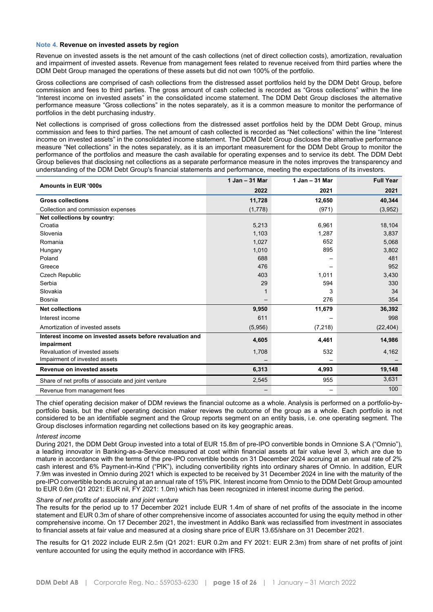#### **Note 4. Revenue on invested assets by region**

Revenue on invested assets is the net amount of the cash collections (net of direct collection costs), amortization, revaluation and impairment of invested assets. Revenue from management fees related to revenue received from third parties where the DDM Debt Group managed the operations of these assets but did not own 100% of the portfolio.

Gross collections are comprised of cash collections from the distressed asset portfolios held by the DDM Debt Group, before commission and fees to third parties. The gross amount of cash collected is recorded as "Gross collections" within the line "Interest income on invested assets" in the consolidated income statement. The DDM Debt Group discloses the alternative performance measure "Gross collections" in the notes separately, as it is a common measure to monitor the performance of portfolios in the debt purchasing industry.

Net collections is comprised of gross collections from the distressed asset portfolios held by the DDM Debt Group, minus commission and fees to third parties. The net amount of cash collected is recorded as "Net collections" within the line "Interest income on invested assets" in the consolidated income statement. The DDM Debt Group discloses the alternative performance measure "Net collections" in the notes separately, as it is an important measurement for the DDM Debt Group to monitor the performance of the portfolios and measure the cash available for operating expenses and to service its debt. The DDM Debt Group believes that disclosing net collections as a separate performance measure in the notes improves the transparency and understanding of the DDM Debt Group's financial statements and performance, meeting the expectations of its investors.

| Amounts in EUR '000s                                                    | 1 Jan - 31 Mar | 1 Jan - 31 Mar | <b>Full Year</b> |
|-------------------------------------------------------------------------|----------------|----------------|------------------|
|                                                                         | 2022           | 2021           | 2021             |
| <b>Gross collections</b>                                                | 11,728         | 12,650         | 40,344           |
| Collection and commission expenses                                      | (1,778)        | (971)          | (3,952)          |
| Net collections by country:                                             |                |                |                  |
| Croatia                                                                 | 5,213          | 6,961          | 18,104           |
| Slovenia                                                                | 1,103          | 1,287          | 3,837            |
| Romania                                                                 | 1,027          | 652            | 5,068            |
| Hungary                                                                 | 1,010          | 895            | 3,802            |
| Poland                                                                  | 688            |                | 481              |
| Greece                                                                  | 476            |                | 952              |
| Czech Republic                                                          | 403            | 1,011          | 3,430            |
| Serbia                                                                  | 29             | 594            | 330              |
| Slovakia                                                                |                | 3              | 34               |
| Bosnia                                                                  |                | 276            | 354              |
| <b>Net collections</b>                                                  | 9,950          | 11,679         | 36,392           |
| Interest income                                                         | 611            |                | 998              |
| Amortization of invested assets                                         | (5,956)        | (7, 218)       | (22, 404)        |
| Interest income on invested assets before revaluation and<br>impairment | 4,605          | 4,461          | 14,986           |
| Revaluation of invested assets                                          | 1,708          | 532            | 4,162            |
| Impairment of invested assets                                           |                |                |                  |
| Revenue on invested assets                                              | 6,313          | 4,993          | 19,148           |
| Share of net profits of associate and joint venture                     | 2,545          | 955            | 3,631            |
| Revenue from management fees                                            |                |                | 100              |

The chief operating decision maker of DDM reviews the financial outcome as a whole. Analysis is performed on a portfolio-byportfolio basis, but the chief operating decision maker reviews the outcome of the group as a whole. Each portfolio is not considered to be an identifiable segment and the Group reports segment on an entity basis, i.e. one operating segment. The Group discloses information regarding net collections based on its key geographic areas.

#### *Interest income*

During 2021, the DDM Debt Group invested into a total of EUR 15.8m of pre-IPO convertible bonds in Omnione S.A ("Omnio"), a leading innovator in Banking-as-a-Service measured at cost within financial assets at fair value level 3, which are due to mature in accordance with the terms of the pre-IPO convertible bonds on 31 December 2024 accruing at an annual rate of 2% cash interest and 6% Payment-in-Kind ("PIK"), including convertibility rights into ordinary shares of Omnio. In addition, EUR 7.9m was invested in Omnio during 2021 which is expected to be received by 31 December 2024 in line with the maturity of the pre-IPO convertible bonds accruing at an annual rate of 15% PIK. Interest income from Omnio to the DDM Debt Group amounted to EUR 0.6m (Q1 2021: EUR nil, FY 2021: 1.0m) which has been recognized in interest income during the period.

#### *Share of net profits of associate and joint venture*

The results for the period up to 17 December 2021 include EUR 1.4m of share of net profits of the associate in the income statement and EUR 0.3m of share of other comprehensive income of associates accounted for using the equity method in other comprehensive income. On 17 December 2021, the investment in Addiko Bank was reclassified from investment in associates to financial assets at fair value and measured at a closing share price of EUR 13.65/share on 31 December 2021.

The results for Q1 2022 include EUR 2.5m (Q1 2021: EUR 0.2m and FY 2021: EUR 2.3m) from share of net profits of joint venture accounted for using the equity method in accordance with IFRS.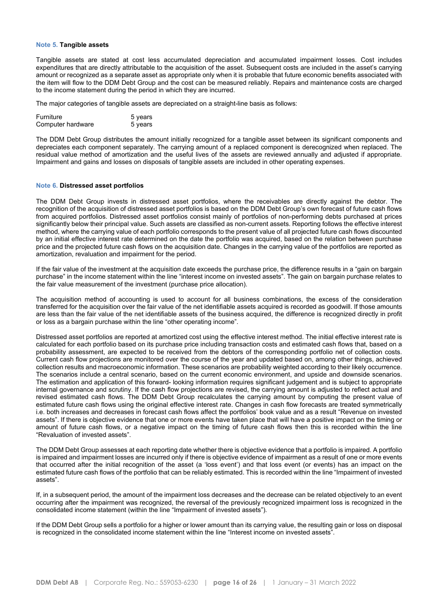#### **Note 5. Tangible assets**

Tangible assets are stated at cost less accumulated depreciation and accumulated impairment losses. Cost includes expenditures that are directly attributable to the acquisition of the asset. Subsequent costs are included in the asset's carrying amount or recognized as a separate asset as appropriate only when it is probable that future economic benefits associated with the item will flow to the DDM Debt Group and the cost can be measured reliably. Repairs and maintenance costs are charged to the income statement during the period in which they are incurred.

The major categories of tangible assets are depreciated on a straight-line basis as follows:

| Furniture         | 5 years |
|-------------------|---------|
| Computer hardware | 5 years |

The DDM Debt Group distributes the amount initially recognized for a tangible asset between its significant components and depreciates each component separately. The carrying amount of a replaced component is derecognized when replaced. The residual value method of amortization and the useful lives of the assets are reviewed annually and adjusted if appropriate. Impairment and gains and losses on disposals of tangible assets are included in other operating expenses.

#### **Note 6. Distressed asset portfolios**

The DDM Debt Group invests in distressed asset portfolios, where the receivables are directly against the debtor. The recognition of the acquisition of distressed asset portfolios is based on the DDM Debt Group's own forecast of future cash flows from acquired portfolios. Distressed asset portfolios consist mainly of portfolios of non-performing debts purchased at prices significantly below their principal value. Such assets are classified as non-current assets. Reporting follows the effective interest method, where the carrying value of each portfolio corresponds to the present value of all projected future cash flows discounted by an initial effective interest rate determined on the date the portfolio was acquired, based on the relation between purchase price and the projected future cash flows on the acquisition date. Changes in the carrying value of the portfolios are reported as amortization, revaluation and impairment for the period.

If the fair value of the investment at the acquisition date exceeds the purchase price, the difference results in a "gain on bargain purchase" in the income statement within the line "interest income on invested assets". The gain on bargain purchase relates to the fair value measurement of the investment (purchase price allocation).

The acquisition method of accounting is used to account for all business combinations, the excess of the consideration transferred for the acquisition over the fair value of the net identifiable assets acquired is recorded as goodwill. If those amounts are less than the fair value of the net identifiable assets of the business acquired, the difference is recognized directly in profit or loss as a bargain purchase within the line "other operating income".

Distressed asset portfolios are reported at amortized cost using the effective interest method. The initial effective interest rate is calculated for each portfolio based on its purchase price including transaction costs and estimated cash flows that, based on a probability assessment, are expected to be received from the debtors of the corresponding portfolio net of collection costs. Current cash flow projections are monitored over the course of the year and updated based on, among other things, achieved collection results and macroeconomic information. These scenarios are probability weighted according to their likely occurrence. The scenarios include a central scenario, based on the current economic environment, and upside and downside scenarios. The estimation and application of this forward- looking information requires significant judgement and is subject to appropriate internal governance and scrutiny. If the cash flow projections are revised, the carrying amount is adjusted to reflect actual and revised estimated cash flows. The DDM Debt Group recalculates the carrying amount by computing the present value of estimated future cash flows using the original effective interest rate. Changes in cash flow forecasts are treated symmetrically i.e. both increases and decreases in forecast cash flows affect the portfolios' book value and as a result "Revenue on invested assets". If there is objective evidence that one or more events have taken place that will have a positive impact on the timing or amount of future cash flows, or a negative impact on the timing of future cash flows then this is recorded within the line "Revaluation of invested assets".

The DDM Debt Group assesses at each reporting date whether there is objective evidence that a portfolio is impaired. A portfolio is impaired and impairment losses are incurred only if there is objective evidence of impairment as a result of one or more events that occurred after the initial recognition of the asset (a 'loss event') and that loss event (or events) has an impact on the estimated future cash flows of the portfolio that can be reliably estimated. This is recorded within the line "Impairment of invested assets".

If, in a subsequent period, the amount of the impairment loss decreases and the decrease can be related objectively to an event occurring after the impairment was recognized, the reversal of the previously recognized impairment loss is recognized in the consolidated income statement (within the line "Impairment of invested assets").

If the DDM Debt Group sells a portfolio for a higher or lower amount than its carrying value, the resulting gain or loss on disposal is recognized in the consolidated income statement within the line "Interest income on invested assets".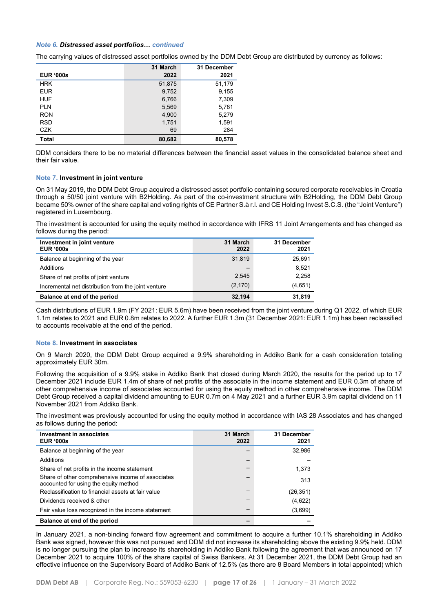### *Note 6. Distressed asset portfolios… continued*

The carrying values of distressed asset portfolios owned by the DDM Debt Group are distributed by currency as follows:

|                  | 31 March | 31 December |
|------------------|----------|-------------|
| <b>EUR '000s</b> | 2022     | 2021        |
| <b>HRK</b>       | 51,875   | 51,179      |
| <b>EUR</b>       | 9,752    | 9,155       |
| <b>HUF</b>       | 6,766    | 7,309       |
| <b>PLN</b>       | 5,569    | 5,781       |
| <b>RON</b>       | 4,900    | 5,279       |
| <b>RSD</b>       | 1,751    | 1,591       |
| CZK              | 69       | 284         |
| Total            | 80,682   | 80,578      |

DDM considers there to be no material differences between the financial asset values in the consolidated balance sheet and their fair value.

# **Note 7. Investment in joint venture**

On 31 May 2019, the DDM Debt Group acquired a distressed asset portfolio containing secured corporate receivables in Croatia through a 50/50 joint venture with B2Holding. As part of the co-investment structure with B2Holding, the DDM Debt Group became 50% owner of the share capital and voting rights of CE Partner S.à r.l. and CE Holding Invest S.C.S. (the "Joint Venture") registered in Luxembourg.

The investment is accounted for using the equity method in accordance with IFRS 11 Joint Arrangements and has changed as follows during the period:

| Investment in joint venture<br><b>EUR '000s</b>     | 31 March<br>2022 | 31 December<br>2021 |
|-----------------------------------------------------|------------------|---------------------|
| Balance at beginning of the year                    | 31,819           | 25,691              |
| Additions                                           |                  | 8.521               |
| Share of net profits of joint venture               | 2,545            | 2,258               |
| Incremental net distribution from the joint venture | (2, 170)         | (4,651)             |
| Balance at end of the period                        | 32,194           | 31,819              |

Cash distributions of EUR 1.9m (FY 2021: EUR 5.6m) have been received from the joint venture during Q1 2022, of which EUR 1.1m relates to 2021 and EUR 0.8m relates to 2022. A further EUR 1.3m (31 December 2021: EUR 1.1m) has been reclassified to accounts receivable at the end of the period.

#### **Note 8. Investment in associates**

On 9 March 2020, the DDM Debt Group acquired a 9.9% shareholding in Addiko Bank for a cash consideration totaling approximately EUR 30m.

Following the acquisition of a 9.9% stake in Addiko Bank that closed during March 2020, the results for the period up to 17 December 2021 include EUR 1.4m of share of net profits of the associate in the income statement and EUR 0.3m of share of other comprehensive income of associates accounted for using the equity method in other comprehensive income. The DDM Debt Group received a capital dividend amounting to EUR 0.7m on 4 May 2021 and a further EUR 3.9m capital dividend on 11 November 2021 from Addiko Bank.

The investment was previously accounted for using the equity method in accordance with IAS 28 Associates and has changed as follows during the period:

| Investment in associates<br><b>EUR '000s</b>                                               | 31 March<br>2022 | 31 December<br>2021 |
|--------------------------------------------------------------------------------------------|------------------|---------------------|
| Balance at beginning of the year                                                           |                  | 32,986              |
| Additions                                                                                  |                  |                     |
| Share of net profits in the income statement                                               |                  | 1.373               |
| Share of other comprehensive income of associates<br>accounted for using the equity method |                  | 313                 |
| Reclassification to financial assets at fair value                                         |                  | (26, 351)           |
| Dividends received & other                                                                 |                  | (4,622)             |
| Fair value loss recognized in the income statement                                         |                  | (3,699)             |
| Balance at end of the period                                                               |                  |                     |

In January 2021, a non-binding forward flow agreement and commitment to acquire a further 10.1% shareholding in Addiko Bank was signed, however this was not pursued and DDM did not increase its shareholding above the existing 9.9% held. DDM is no longer pursuing the plan to increase its shareholding in Addiko Bank following the agreement that was announced on 17 December 2021 to acquire 100% of the share capital of Swiss Bankers. At 31 December 2021, the DDM Debt Group had an effective influence on the Supervisory Board of Addiko Bank of 12.5% (as there are 8 Board Members in total appointed) which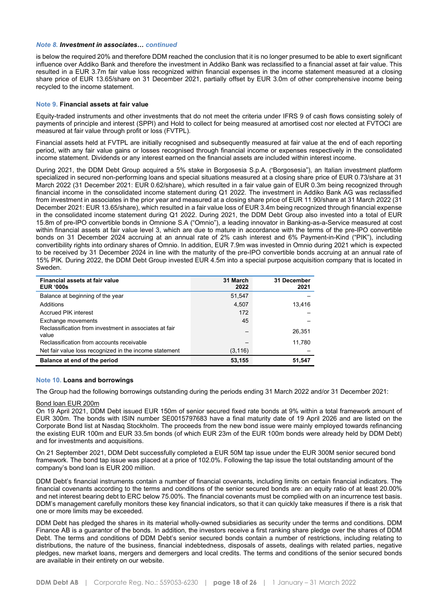#### *Note 8. Investment in associates… continued*

is below the required 20% and therefore DDM reached the conclusion that it is no longer presumed to be able to exert significant influence over Addiko Bank and therefore the investment in Addiko Bank was reclassified to a financial asset at fair value. This resulted in a EUR 3.7m fair value loss recognized within financial expenses in the income statement measured at a closing share price of EUR 13.65/share on 31 December 2021, partially offset by EUR 3.0m of other comprehensive income being recycled to the income statement.

### **Note 9. Financial assets at fair value**

Equity-traded instruments and other investments that do not meet the criteria under IFRS 9 of cash flows consisting solely of payments of principle and interest (SPPI) and Hold to collect for being measured at amortised cost nor elected at FVTOCI are measured at fair value through profit or loss (FVTPL).

Financial assets held at FVTPL are initially recognised and subsequently measured at fair value at the end of each reporting period, with any fair value gains or losses recognised through financial income or expenses respectively in the consolidated income statement. Dividends or any interest earned on the financial assets are included within interest income.

During 2021, the DDM Debt Group acquired a 5% stake in Borgosesia S.p.A. ("Borgosesia"), an Italian investment platform specialized in secured non-performing loans and special situations measured at a closing share price of EUR 0.73/share at 31 March 2022 (31 December 2021: EUR 0.62/share), which resulted in a fair value gain of EUR 0.3m being recognized through financial income in the consolidated income statement during Q1 2022. The investment in Addiko Bank AG was reclassified from investment in associates in the prior year and measured at a closing share price of EUR 11.90/share at 31 March 2022 (31 December 2021: EUR 13.65/share), which resulted in a fair value loss of EUR 3.4m being recognized through financial expense in the consolidated income statement during Q1 2022. During 2021, the DDM Debt Group also invested into a total of EUR 15.8m of pre-IPO convertible bonds in Omnione S.A ("Omnio"), a leading innovator in Banking-as-a-Service measured at cost within financial assets at fair value level 3, which are due to mature in accordance with the terms of the pre-IPO convertible bonds on 31 December 2024 accruing at an annual rate of 2% cash interest and 6% Payment-in-Kind ("PIK"), including convertibility rights into ordinary shares of Omnio. In addition, EUR 7.9m was invested in Omnio during 2021 which is expected to be received by 31 December 2024 in line with the maturity of the pre-IPO convertible bonds accruing at an annual rate of 15% PIK. During 2022, the DDM Debt Group invested EUR 4.5m into a special purpose acquisition company that is located in Sweden.

| Financial assets at fair value<br><b>EUR '000s</b>              | 31 March<br>2022 | 31 December<br>2021 |
|-----------------------------------------------------------------|------------------|---------------------|
| Balance at beginning of the year                                | 51.547           |                     |
| Additions                                                       | 4.507            | 13.416              |
| <b>Accrued PIK interest</b>                                     | 172              |                     |
| Exchange movements                                              | 45               |                     |
| Reclassification from investment in associates at fair<br>value | —                | 26.351              |
| Reclassification from accounts receivable                       |                  | 11,780              |
| Net fair value loss recognized in the income statement          | (3, 116)         |                     |
| Balance at end of the period                                    | 53,155           | 51,547              |

#### **Note 10. Loans and borrowings**

The Group had the following borrowings outstanding during the periods ending 31 March 2022 and/or 31 December 2021:

#### Bond loan EUR 200m

On 19 April 2021, DDM Debt issued EUR 150m of senior secured fixed rate bonds at 9% within a total framework amount of EUR 300m. The bonds with ISIN number SE0015797683 have a final maturity date of 19 April 2026 and are listed on the Corporate Bond list at Nasdaq Stockholm. The proceeds from the new bond issue were mainly employed towards refinancing the existing EUR 100m and EUR 33.5m bonds (of which EUR 23m of the EUR 100m bonds were already held by DDM Debt) and for investments and acquisitions.

On 21 September 2021, DDM Debt successfully completed a EUR 50M tap issue under the EUR 300M senior secured bond framework. The bond tap issue was placed at a price of 102.0%. Following the tap issue the total outstanding amount of the company's bond loan is EUR 200 million.

DDM Debt's financial instruments contain a number of financial covenants, including limits on certain financial indicators. The financial covenants according to the terms and conditions of the senior secured bonds are: an equity ratio of at least 20.00% and net interest bearing debt to ERC below 75.00%. The financial covenants must be complied with on an incurrence test basis. DDM's management carefully monitors these key financial indicators, so that it can quickly take measures if there is a risk that one or more limits may be exceeded.

DDM Debt has pledged the shares in its material wholly-owned subsidiaries as security under the terms and conditions. DDM Finance AB is a guarantor of the bonds. In addition, the investors receive a first ranking share pledge over the shares of DDM Debt. The terms and conditions of DDM Debt's senior secured bonds contain a number of restrictions, including relating to distributions, the nature of the business, financial indebtedness, disposals of assets, dealings with related parties, negative pledges, new market loans, mergers and demergers and local credits. The terms and conditions of the senior secured bonds are available in their entirety on our website.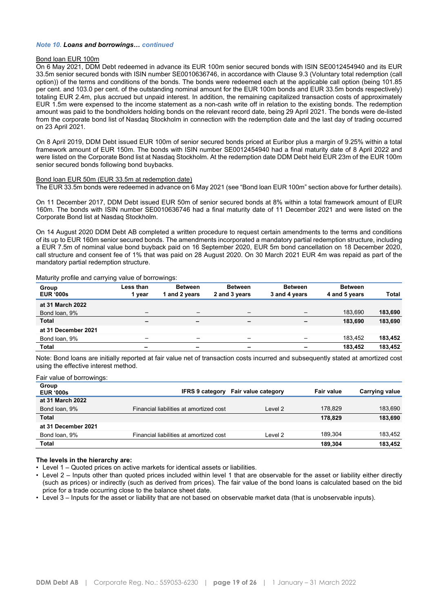#### *Note 10. Loans and borrowings… continued*

#### Bond loan EUR 100m

On 6 May 2021, DDM Debt redeemed in advance its EUR 100m senior secured bonds with ISIN SE0012454940 and its EUR 33.5m senior secured bonds with ISIN number SE0010636746, in accordance with Clause 9.3 (Voluntary total redemption (call option)) of the terms and conditions of the bonds. The bonds were redeemed each at the applicable call option (being 101.85 per cent. and 103.0 per cent. of the outstanding nominal amount for the EUR 100m bonds and EUR 33.5m bonds respectively) totaling EUR 2.4m, plus accrued but unpaid interest. In addition, the remaining capitalized transaction costs of approximately EUR 1.5m were expensed to the income statement as a non-cash write off in relation to the existing bonds. The redemption amount was paid to the bondholders holding bonds on the relevant record date, being 29 April 2021. The bonds were de-listed from the corporate bond list of Nasdaq Stockholm in connection with the redemption date and the last day of trading occurred on 23 April 2021.

On 8 April 2019, DDM Debt issued EUR 100m of senior secured bonds priced at Euribor plus a margin of 9.25% within a total framework amount of EUR 150m. The bonds with ISIN number SE0012454940 had a final maturity date of 8 April 2022 and were listed on the Corporate Bond list at Nasdaq Stockholm. At the redemption date DDM Debt held EUR 23m of the EUR 100m senior secured bonds following bond buybacks.

#### Bond loan EUR 50m (EUR 33.5m at redemption date)

The EUR 33.5m bonds were redeemed in advance on 6 May 2021 (see "Bond loan EUR 100m" section above for further details).

On 11 December 2017, DDM Debt issued EUR 50m of senior secured bonds at 8% within a total framework amount of EUR 160m. The bonds with ISIN number SE0010636746 had a final maturity date of 11 December 2021 and were listed on the Corporate Bond list at Nasdaq Stockholm.

On 14 August 2020 DDM Debt AB completed a written procedure to request certain amendments to the terms and conditions of its up to EUR 160m senior secured bonds. The amendments incorporated a mandatory partial redemption structure, including a EUR 7.5m of nominal value bond buyback paid on 16 September 2020, EUR 5m bond cancellation on 18 December 2020, call structure and consent fee of 1% that was paid on 28 August 2020. On 30 March 2021 EUR 4m was repaid as part of the mandatory partial redemption structure.

|  |  |  | Maturity profile and carrying value of borrowings: |
|--|--|--|----------------------------------------------------|
|  |  |  |                                                    |

| <i>,</i>            | ີ                        | ີ                        |                          |                          |                |              |
|---------------------|--------------------------|--------------------------|--------------------------|--------------------------|----------------|--------------|
| Group               | Less than                | <b>Between</b>           | <b>Between</b>           | <b>Between</b>           | <b>Between</b> |              |
| <b>EUR '000s</b>    | vear                     | and 2 years              | 2 and 3 years            | 3 and 4 years            | 4 and 5 years  | <b>Total</b> |
| at 31 March 2022    |                          |                          |                          |                          |                |              |
| Bond loan, 9%       |                          | $\overline{\phantom{m}}$ |                          |                          | 183.690        | 183,690      |
| <b>Total</b>        | $\overline{\phantom{0}}$ | $\overline{\phantom{0}}$ | $\overline{\phantom{0}}$ | $\overline{\phantom{0}}$ | 183.690        | 183,690      |
| at 31 December 2021 |                          |                          |                          |                          |                |              |
| Bond loan, 9%       | $\overline{\phantom{0}}$ | $\overline{\phantom{0}}$ |                          |                          | 183,452        | 183,452      |
| Total               | -                        | -                        | -                        |                          | 183,452        | 183,452      |
|                     |                          |                          |                          |                          |                |              |

Note: Bond loans are initially reported at fair value net of transaction costs incurred and subsequently stated at amortized cost using the effective interest method.

#### Fair value of borrowings:

| Group<br><b>EUR '000s</b> |                                         | <b>IFRS 9 category Fair value category</b> | Fair value | Carrying value |
|---------------------------|-----------------------------------------|--------------------------------------------|------------|----------------|
| at 31 March 2022          |                                         |                                            |            |                |
| Bond loan, 9%             | Financial liabilities at amortized cost | Level 2                                    | 178.829    | 183.690        |
| <b>Total</b>              |                                         |                                            | 178.829    | 183,690        |
| at 31 December 2021       |                                         |                                            |            |                |
| Bond loan, 9%             | Financial liabilities at amortized cost | Level 2                                    | 189.304    | 183.452        |
| <b>Total</b>              |                                         |                                            | 189.304    | 183,452        |
|                           |                                         |                                            |            |                |

## **The levels in the hierarchy are:**

• Level 1 – Quoted prices on active markets for identical assets or liabilities.

- Level 2 Inputs other than quoted prices included within level 1 that are observable for the asset or liability either directly (such as prices) or indirectly (such as derived from prices). The fair value of the bond loans is calculated based on the bid price for a trade occurring close to the balance sheet date.
- Level 3 Inputs for the asset or liability that are not based on observable market data (that is unobservable inputs).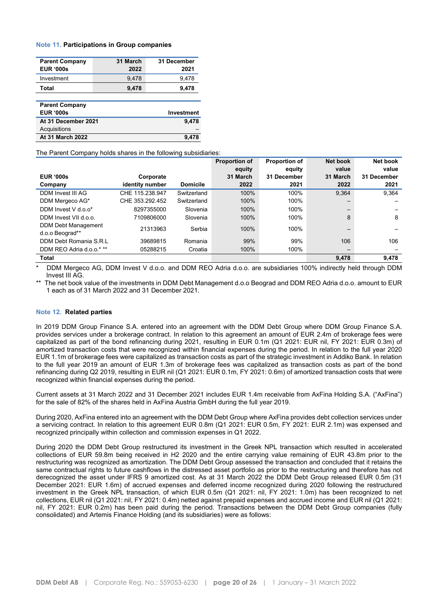#### **Note 11. Participations in Group companies**

| <b>Parent Company</b><br><b>EUR '000s</b> | 31 March<br>2022 | 31 December<br>2021 |
|-------------------------------------------|------------------|---------------------|
| Investment                                | 9,478            | 9,478               |
| Total                                     | 9,478            | 9,478               |
|                                           |                  |                     |
| <b>Parent Company</b>                     |                  |                     |
| <b>EUR '000s</b>                          |                  | Investment          |
| At 31 December 2021                       |                  | 9,478               |
| Acquisitions                              |                  |                     |
| <b>At 31 March 2022</b>                   |                  | 9.47                |

The Parent Company holds shares in the following subsidiaries:

|                                        |                 |                 | <b>Proportion of</b> | <b>Proportion of</b> | Net book | Net book    |
|----------------------------------------|-----------------|-----------------|----------------------|----------------------|----------|-------------|
|                                        |                 |                 | equity               | equity               | value    | value       |
| <b>EUR '000s</b>                       | Corporate       |                 | 31 March             | 31 December          | 31 March | 31 December |
| Company                                | identity number | <b>Domicile</b> | 2022                 | 2021                 | 2022     | 2021        |
| <b>DDM Invest III AG</b>               | CHE 115.238.947 | Switzerland     | 100%                 | 100%                 | 9,364    | 9,364       |
| DDM Mergeco AG*                        | CHE 353.292.452 | Switzerland     | 100%                 | 100%                 |          |             |
| DDM Invest V d.o.o*                    | 8297355000      | Slovenia        | 100%                 | 100%                 | —        |             |
| DDM Invest VII d.o.o.                  | 7109806000      | Slovenia        | 100%                 | 100%                 | 8        | 8           |
| DDM Debt Management<br>d.o.o Beograd** | 21313963        | Serbia          | 100%                 | 100%                 |          |             |
| DDM Debt Romania S.R.L                 | 39689815        | Romania         | 99%                  | 99%                  | 106      | 106         |
| DDM REO Adria d.o.o.* **               | 05288215        | Croatia         | 100%                 | 100%                 |          |             |
| Total                                  |                 |                 |                      |                      | 9,478    | 9,478       |

DDM Mergeco AG, DDM Invest V d.o.o. and DDM REO Adria d.o.o. are subsidiaries 100% indirectly held through DDM Invest III AG.

The net book value of the investments in DDM Debt Management d.o.o Beograd and DDM REO Adria d.o.o. amount to EUR 1 each as of 31 March 2022 and 31 December 2021.

#### **Note 12. Related parties**

In 2019 DDM Group Finance S.A. entered into an agreement with the DDM Debt Group where DDM Group Finance S.A. provides services under a brokerage contract. In relation to this agreement an amount of EUR 2.4m of brokerage fees were capitalized as part of the bond refinancing during 2021, resulting in EUR 0.1m (Q1 2021: EUR nil, FY 2021: EUR 0.3m) of amortized transaction costs that were recognized within financial expenses during the period. In relation to the full year 2020 EUR 1.1m of brokerage fees were capitalized as transaction costs as part of the strategic investment in Addiko Bank. In relation to the full year 2019 an amount of EUR 1.3m of brokerage fees was capitalized as transaction costs as part of the bond refinancing during Q2 2019, resulting in EUR nil (Q1 2021: EUR 0.1m, FY 2021: 0.6m) of amortized transaction costs that were recognized within financial expenses during the period.

Current assets at 31 March 2022 and 31 December 2021 includes EUR 1.4m receivable from AxFina Holding S.A. ("AxFina") for the sale of 82% of the shares held in AxFina Austria GmbH during the full year 2019.

During 2020, AxFina entered into an agreement with the DDM Debt Group where AxFina provides debt collection services under a servicing contract. In relation to this agreement EUR 0.8m (Q1 2021: EUR 0.5m, FY 2021: EUR 2.1m) was expensed and recognized principally within collection and commission expenses in Q1 2022.

During 2020 the DDM Debt Group restructured its investment in the Greek NPL transaction which resulted in accelerated collections of EUR 59.8m being received in H2 2020 and the entire carrying value remaining of EUR 43.8m prior to the restructuring was recognized as amortization. The DDM Debt Group assessed the transaction and concluded that it retains the same contractual rights to future cashflows in the distressed asset portfolio as prior to the restructuring and therefore has not derecognized the asset under IFRS 9 amortized cost. As at 31 March 2022 the DDM Debt Group released EUR 0.5m (31 December 2021: EUR 1.6m) of accrued expenses and deferred income recognized during 2020 following the restructured investment in the Greek NPL transaction, of which EUR 0.5m (Q1 2021: nil, FY 2021: 1.0m) has been recognized to net collections, EUR nil (Q1 2021: nil, FY 2021: 0.4m) netted against prepaid expenses and accrued income and EUR nil (Q1 2021: nil, FY 2021: EUR 0.2m) has been paid during the period. Transactions between the DDM Debt Group companies (fully consolidated) and Artemis Finance Holding (and its subsidiaries) were as follows: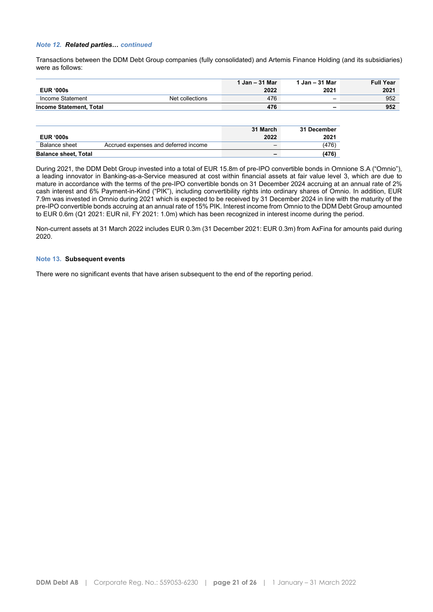# *Note 12. Related parties… continued*

Transactions between the DDM Debt Group companies (fully consolidated) and Artemis Finance Holding (and its subsidiaries) were as follows:

|                         |                 | 1 Jan - 31 Mar | 1 Jan - 31 Mar | <b>Full Year</b> |
|-------------------------|-----------------|----------------|----------------|------------------|
| <b>EUR '000s</b>        |                 | 2022           | 2021           | 2021             |
| Income Statement        | Net collections | 476            |                | 952              |
| Income Statement. Total |                 | 476            | -              | 952              |

| <b>EUR '000s</b>            |                                      | 31 March<br>2022 | 31 December<br>2021 |
|-----------------------------|--------------------------------------|------------------|---------------------|
| Balance sheet               | Accrued expenses and deferred income |                  | (476)               |
| <b>Balance sheet, Total</b> |                                      | -                | (476)               |

During 2021, the DDM Debt Group invested into a total of EUR 15.8m of pre-IPO convertible bonds in Omnione S.A ("Omnio"), a leading innovator in Banking-as-a-Service measured at cost within financial assets at fair value level 3, which are due to mature in accordance with the terms of the pre-IPO convertible bonds on 31 December 2024 accruing at an annual rate of 2% cash interest and 6% Payment-in-Kind ("PIK"), including convertibility rights into ordinary shares of Omnio. In addition, EUR 7.9m was invested in Omnio during 2021 which is expected to be received by 31 December 2024 in line with the maturity of the pre-IPO convertible bonds accruing at an annual rate of 15% PIK. Interest income from Omnio to the DDM Debt Group amounted to EUR 0.6m (Q1 2021: EUR nil, FY 2021: 1.0m) which has been recognized in interest income during the period.

Non-current assets at 31 March 2022 includes EUR 0.3m (31 December 2021: EUR 0.3m) from AxFina for amounts paid during 2020.

## **Note 13. Subsequent events**

There were no significant events that have arisen subsequent to the end of the reporting period.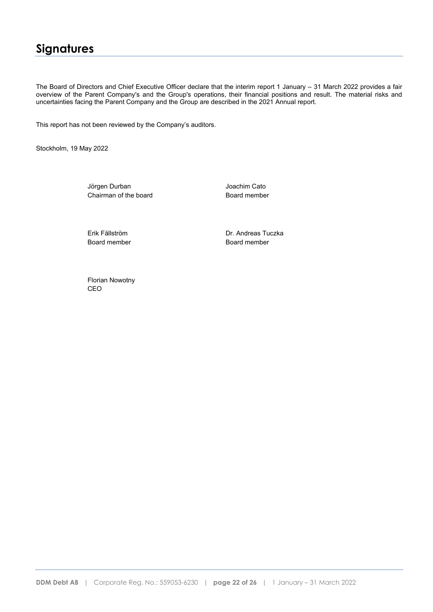# **Signatures**

The Board of Directors and Chief Executive Officer declare that the interim report 1 January – 31 March 2022 provides a fair overview of the Parent Company's and the Group's operations, their financial positions and result. The material risks and uncertainties facing the Parent Company and the Group are described in the 2021 Annual report.

This report has not been reviewed by the Company's auditors.

Stockholm, 19 May 2022

Jörgen Durban Joachim Cato Chairman of the board **Board member** 

Board member Board member

Erik Fällström Dr. Andreas Tuczka

Florian Nowotny CEO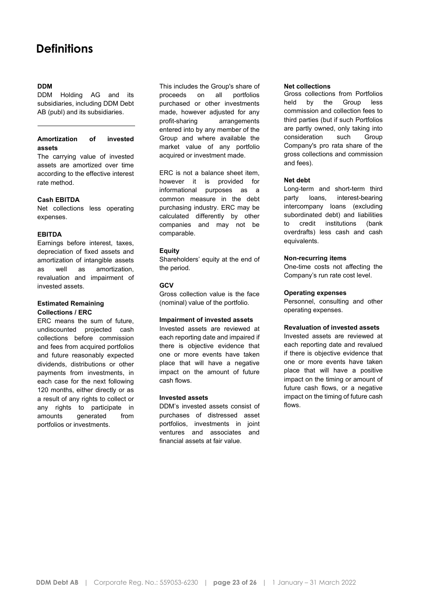# **Definitions**

# **DDM**

DDM Holding AG and its subsidiaries, including DDM Debt AB (publ) and its subsidiaries.

# **Amortization of invested assets**

The carrying value of invested assets are amortized over time according to the effective interest rate method.

## **Cash EBITDA**

Net collections less operating expenses.

## **EBITDA**

Earnings before interest, taxes, depreciation of fixed assets and amortization of intangible assets as well as amortization, revaluation and impairment of invested assets.

## **Estimated Remaining Collections / ERC**

ERC means the sum of future, undiscounted projected cash collections before commission and fees from acquired portfolios and future reasonably expected dividends, distributions or other payments from investments, in each case for the next following 120 months, either directly or as a result of any rights to collect or any rights to participate in amounts generated from portfolios or investments.

This includes the Group's share of proceeds on all portfolios purchased or other investments made, however adjusted for any profit-sharing arrangements entered into by any member of the Group and where available the market value of any portfolio acquired or investment made.

ERC is not a balance sheet item, however it is provided for informational purposes as a common measure in the debt purchasing industry. ERC may be calculated differently by other companies and may not be comparable.

## **Equity**

Shareholders' equity at the end of the period.

# **GCV**

Gross collection value is the face (nominal) value of the portfolio.

## **Impairment of invested assets**

Invested assets are reviewed at each reporting date and impaired if there is objective evidence that one or more events have taken place that will have a negative impact on the amount of future cash flows.

## **Invested assets**

DDM's invested assets consist of purchases of distressed asset portfolios, investments in joint ventures and associates and financial assets at fair value.

#### **Net collections**

Gross collections from Portfolios held by the Group less commission and collection fees to third parties (but if such Portfolios are partly owned, only taking into consideration such Group Company's pro rata share of the gross collections and commission and fees).

## **Net debt**

Long-term and short-term third party loans, interest-bearing intercompany loans (excluding subordinated debt) and liabilities to credit institutions (bank overdrafts) less cash and cash equivalents.

## **Non-recurring items**

One-time costs not affecting the Company's run rate cost level.

## **Operating expenses**

Personnel, consulting and other operating expenses.

# **Revaluation of invested assets**

Invested assets are reviewed at each reporting date and revalued if there is objective evidence that one or more events have taken place that will have a positive impact on the timing or amount of future cash flows, or a negative impact on the timing of future cash flows.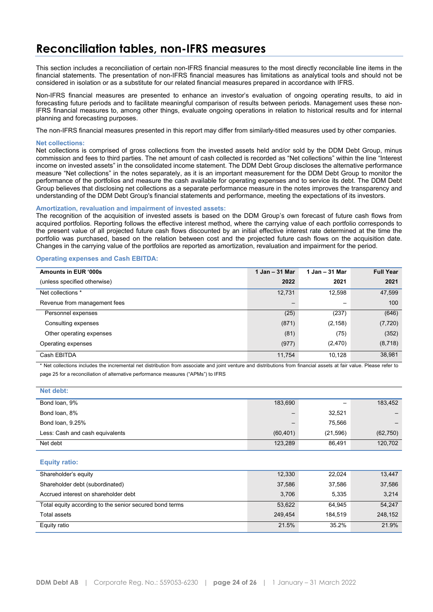# **Reconciliation tables, non-IFRS measures**

This section includes a reconciliation of certain non-IFRS financial measures to the most directly reconcilable line items in the financial statements. The presentation of non-IFRS financial measures has limitations as analytical tools and should not be considered in isolation or as a substitute for our related financial measures prepared in accordance with IFRS.

Non-IFRS financial measures are presented to enhance an investor's evaluation of ongoing operating results, to aid in forecasting future periods and to facilitate meaningful comparison of results between periods. Management uses these non-IFRS financial measures to, among other things, evaluate ongoing operations in relation to historical results and for internal planning and forecasting purposes.

The non-IFRS financial measures presented in this report may differ from similarly-titled measures used by other companies.

#### **Net collections:**

Net collections is comprised of gross collections from the invested assets held and/or sold by the DDM Debt Group, minus commission and fees to third parties. The net amount of cash collected is recorded as "Net collections" within the line "Interest income on invested assets" in the consolidated income statement. The DDM Debt Group discloses the alternative performance measure "Net collections" in the notes separately, as it is an important measurement for the DDM Debt Group to monitor the performance of the portfolios and measure the cash available for operating expenses and to service its debt. The DDM Debt Group believes that disclosing net collections as a separate performance measure in the notes improves the transparency and understanding of the DDM Debt Group's financial statements and performance, meeting the expectations of its investors.

## **Amortization, revaluation and impairment of invested assets:**

The recognition of the acquisition of invested assets is based on the DDM Group's own forecast of future cash flows from acquired portfolios. Reporting follows the effective interest method, where the carrying value of each portfolio corresponds to the present value of all projected future cash flows discounted by an initial effective interest rate determined at the time the portfolio was purchased, based on the relation between cost and the projected future cash flows on the acquisition date. Changes in the carrying value of the portfolios are reported as amortization, revaluation and impairment for the period.

#### **Operating expenses and Cash EBITDA:**

| Amounts in EUR '000s         | 1 Jan - 31 Mar           | 1 Jan - 31 Mar | <b>Full Year</b> |
|------------------------------|--------------------------|----------------|------------------|
| (unless specified otherwise) | 2022                     | 2021           | 2021             |
| Net collections *            | 12,731                   | 12,598         | 47,599           |
| Revenue from management fees | $\overline{\phantom{m}}$ |                | 100              |
| Personnel expenses           | (25)                     | (237)          | (646)            |
| Consulting expenses          | (871)                    | (2, 158)       | (7, 720)         |
| Other operating expenses     | (81)                     | (75)           | (352)            |
| Operating expenses           | (977)                    | (2,470)        | (8, 718)         |
| Cash EBITDA                  | 11,754                   | 10,128         | 38,981           |

\* Net collections includes the incremental net distribution from associate and joint venture and distributions from financial assets at fair value. Please refer to page 25 for a reconciliation of alternative performance measures ("APMs") to IFRS

| Net debt:                       |                          |           |           |
|---------------------------------|--------------------------|-----------|-----------|
| Bond loan, 9%                   | 183,690                  |           | 183,452   |
| Bond loan, 8%                   | $\overline{\phantom{0}}$ | 32,521    |           |
| Bond loan, 9.25%                |                          | 75,566    |           |
| Less: Cash and cash equivalents | (60, 401)                | (21, 596) | (62, 750) |
| Net debt                        | 123,289                  | 86,491    | 120,702   |
|                                 |                          |           |           |

#### **Equity ratio:**

| Shareholder's equity                                    | 12,330  | 22,024  | 13,447  |
|---------------------------------------------------------|---------|---------|---------|
| Shareholder debt (subordinated)                         | 37,586  | 37,586  | 37,586  |
| Accrued interest on shareholder debt                    | 3,706   | 5,335   | 3,214   |
| Total equity according to the senior secured bond terms | 53,622  | 64.945  | 54,247  |
| Total assets                                            | 249.454 | 184.519 | 248.152 |
| Equity ratio                                            | 21.5%   | 35.2%   | 21.9%   |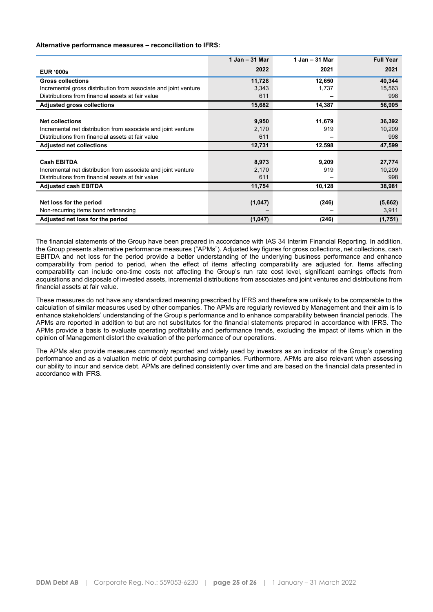### **Alternative performance measures – reconciliation to IFRS:**

|                                                                 | $1$ Jan $-$ 31 Mar | $1$ Jan $-$ 31 Mar | <b>Full Year</b> |
|-----------------------------------------------------------------|--------------------|--------------------|------------------|
| <b>EUR '000s</b>                                                | 2022               | 2021               | 2021             |
| <b>Gross collections</b>                                        | 11,728             | 12,650             | 40,344           |
| Incremental gross distribution from associate and joint venture | 3,343              | 1,737              | 15,563           |
| Distributions from financial assets at fair value               | 611                |                    | 998              |
| <b>Adjusted gross collections</b>                               | 15,682             | 14,387             | 56,905           |
|                                                                 |                    |                    |                  |
| <b>Net collections</b>                                          | 9,950              | 11,679             | 36,392           |
| Incremental net distribution from associate and joint venture   | 2,170              | 919                | 10,209           |
| Distributions from financial assets at fair value               | 611                |                    | 998              |
| <b>Adjusted net collections</b>                                 | 12,731             | 12,598             | 47,599           |
|                                                                 |                    |                    |                  |
| <b>Cash EBITDA</b>                                              | 8,973              | 9,209              | 27,774           |
| Incremental net distribution from associate and joint venture   | 2,170              | 919                | 10,209           |
| Distributions from financial assets at fair value               | 611                |                    | 998              |
| <b>Adjusted cash EBITDA</b>                                     | 11,754             | 10,128             | 38,981           |
|                                                                 |                    |                    |                  |
| Net loss for the period                                         | (1,047)            | (246)              | (5,662)          |
| Non-recurring items bond refinancing                            |                    |                    | 3,911            |
| Adjusted net loss for the period                                | (1,047)            | (246)              | (1,751)          |

The financial statements of the Group have been prepared in accordance with IAS 34 Interim Financial Reporting. In addition, the Group presents alternative performance measures ("APMs"). Adjusted key figures for gross collections, net collections, cash EBITDA and net loss for the period provide a better understanding of the underlying business performance and enhance comparability from period to period, when the effect of items affecting comparability are adjusted for. Items affecting comparability can include one-time costs not affecting the Group's run rate cost level, significant earnings effects from acquisitions and disposals of invested assets, incremental distributions from associates and joint ventures and distributions from financial assets at fair value.

These measures do not have any standardized meaning prescribed by IFRS and therefore are unlikely to be comparable to the calculation of similar measures used by other companies. The APMs are regularly reviewed by Management and their aim is to enhance stakeholders' understanding of the Group's performance and to enhance comparability between financial periods. The APMs are reported in addition to but are not substitutes for the financial statements prepared in accordance with IFRS. The APMs provide a basis to evaluate operating profitability and performance trends, excluding the impact of items which in the opinion of Management distort the evaluation of the performance of our operations.

The APMs also provide measures commonly reported and widely used by investors as an indicator of the Group's operating performance and as a valuation metric of debt purchasing companies. Furthermore, APMs are also relevant when assessing our ability to incur and service debt. APMs are defined consistently over time and are based on the financial data presented in accordance with IFRS.